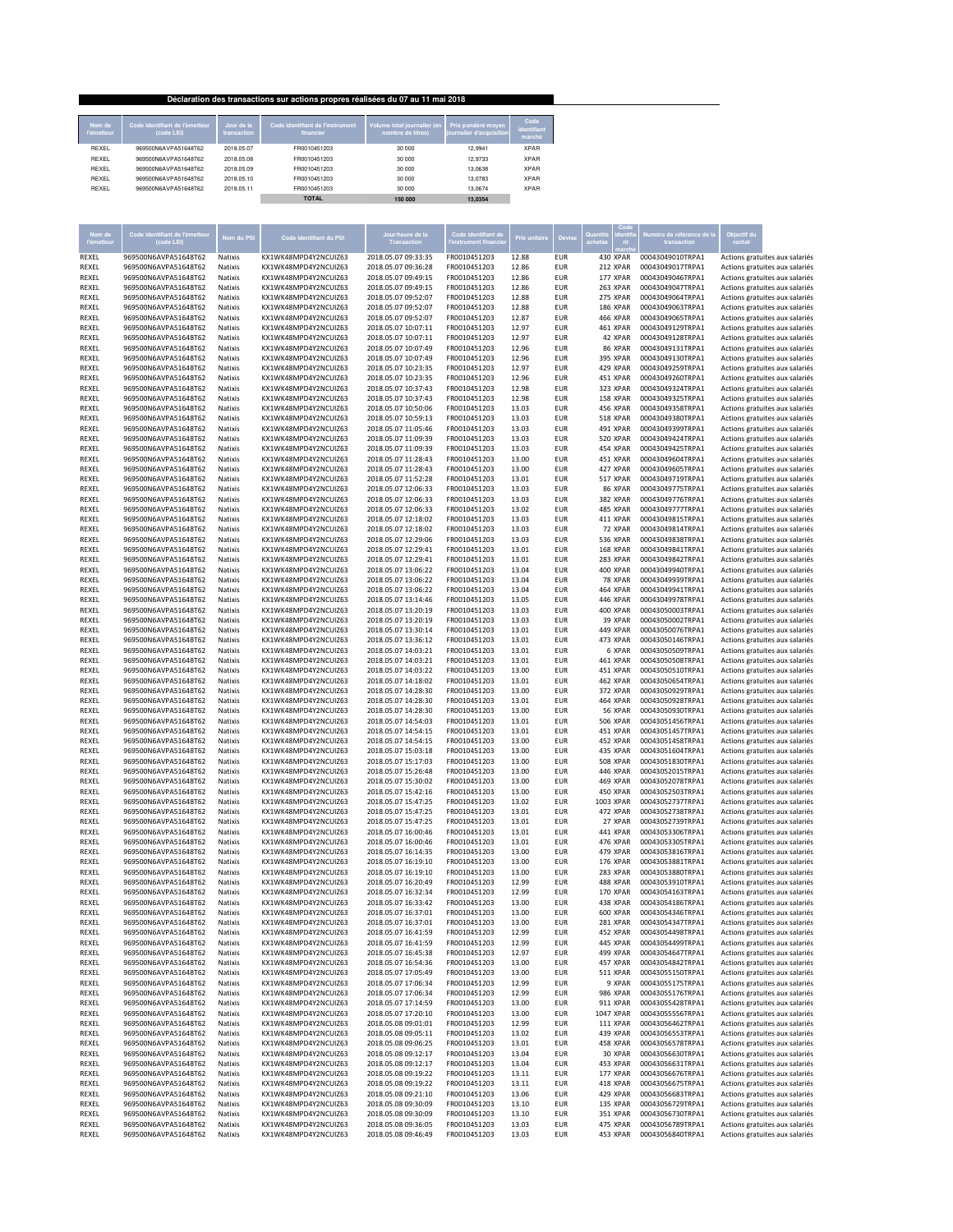|                      |                                              |                           | Déclaration des transactions sur actions propres réalisées du 07 au 11 mai 2018 |                                                  |                                                |                               |
|----------------------|----------------------------------------------|---------------------------|---------------------------------------------------------------------------------|--------------------------------------------------|------------------------------------------------|-------------------------------|
| Nom de<br>l'émetteur | Code identifiant de l'émetteur<br>(code LEI) | Jour de la<br>transaction | Code identifiant de l'instrument<br>financier                                   | Volume total journalier (en<br>nombre de titres) | Prix pondéré moyen<br>journalier d'acquisition | Code<br>identifiant<br>marché |
| REXEL                | 969500N6AVPA51648T62                         | 2018.05.07                | FR0010451203                                                                    | 30 000                                           | 12.9941                                        | <b>XPAR</b>                   |
| REXEL                | 969500N6AVPA51648T62                         | 2018.05.08                | FR0010451203                                                                    | 30 000                                           | 12.9733                                        | <b>XPAR</b>                   |
| REXEL                | 969500N6AVPA51648T62                         | 2018.05.09                | FR0010451203                                                                    | 30 000                                           | 13.0638                                        | <b>XPAR</b>                   |
| REXEL                | 969500N6AVPA51648T62                         | 2018 05 10                | FR0010451203                                                                    | 30 000                                           | 13.0783                                        | <b>XPAR</b>                   |
| REXEL                | 969500N6AVPA51648T62                         | 2018.05.11                | FR0010451203                                                                    | 30 000                                           | 13.0674                                        | <b>XPAR</b>                   |
|                      |                                              |                           | <b>TOTAL</b>                                                                    | 150 000                                          | 13.0354                                        |                               |

| Nom de<br>l'émette <u>ur</u> | ntifiant de l'émetteur<br>(code LEI)         | Nom du PSI         | Code identifiant du PSI                      | our/heure de la<br>Transaction             | Code identifiant de          | Prix unitaire  | <b>Devise</b>            |                      | o de référence de la<br>transaction  | Objectif du<br>rachat                                            |
|------------------------------|----------------------------------------------|--------------------|----------------------------------------------|--------------------------------------------|------------------------------|----------------|--------------------------|----------------------|--------------------------------------|------------------------------------------------------------------|
| REXEL                        | 969500N6AVPA51648T62                         | Natixis            | KX1WK48MPD4Y2NCUIZ63                         | 2018.05.07 09:33:35                        | FR0010451203                 | 12.88          | <b>EUR</b>               | 430 XPAR             | 00043049010TRPA1                     | Actions gratuites aux salariés                                   |
| REXEL                        | 969500N6AVPA51648T62                         | Natixis            | KX1WK48MPD4Y2NCUIZ63                         | 2018.05.07 09:36:28                        | FR0010451203                 | 12.86          | <b>EUR</b>               | 212 XPAR             | 00043049017TRPA1                     | Actions gratuites aux salariés                                   |
| REXEL                        | 969500N6AVPA51648T62                         | Natixis            | KX1WK48MPD4Y2NCUIZ63                         | 2018.05.07 09:49:15                        | FR0010451203                 | 12.86          | <b>EUR</b>               | 177 XPAR             | 00043049046TRPA1                     | Actions gratuites aux salariés                                   |
| REXEL                        | 969500N6AVPA51648T62                         | Natixis            | KX1WK48MPD4Y2NCUIZ63                         | 2018.05.07 09:49:15                        | FR0010451203                 | 12.86          | <b>EUR</b>               | 263 XPAR             | 00043049047TRPA1                     | Actions gratuites aux salariés                                   |
| REXEL                        | 969500N6AVPA51648T62                         | Natixis            | KX1WK48MPD4Y2NCUIZ63                         | 2018.05.07 09:52:07                        | FR0010451203                 | 12.88          | <b>EUR</b>               | 275 XPAR             | 00043049064TRPA1                     | Actions gratuites aux salariés                                   |
| REXEL                        | 969500N6AVPA51648T62                         | Natixis            | KX1WK48MPD4Y2NCUIZ63                         | 2018.05.07 09:52:07                        | FR0010451203                 | 12.88          | <b>EUR</b>               | 186 XPAR             | 00043049063TRPA1                     | Actions gratuites aux salariés                                   |
| REXEL                        | 969500N6AVPA51648T62                         | Natixis            | KX1WK48MPD4Y2NCUIZ63                         | 2018.05.07 09:52:07                        | FR0010451203                 | 12.87          | <b>EUR</b>               | <b>466 XPAR</b>      | 00043049065TRPA1                     | Actions gratuites aux salariés                                   |
| REXEL                        | 969500N6AVPA51648T62                         | Natixis            | KX1WK48MPD4Y2NCUIZ63                         | 2018.05.07 10:07:11                        | FR0010451203                 | 12.97          | <b>EUR</b>               | 461 XPAR             | 00043049129TRPA1                     | Actions gratuites aux salariés                                   |
| REXEL                        | 969500N6AVPA51648T62                         | <b>Natixis</b>     | KX1WK48MPD4Y2NCUIZ63                         | 2018.05.07 10:07:11                        | FR0010451203                 | 12.97          | <b>EUR</b>               | 42 XPAR              | 00043049128TRPA1                     | Actions gratuites aux salariés                                   |
| REXEL                        | 969500N6AVPA51648T62                         | Natixis            | KX1WK48MPD4Y2NCUIZ63                         | 2018.05.07 10:07:49                        | FR0010451203                 | 12.96          | <b>EUR</b>               | 86 XPAR              | 00043049131TRPA1                     | Actions gratuites aux salariés                                   |
| REXEL                        | 969500N6AVPA51648T62                         | Natixis            | KX1WK48MPD4Y2NCUIZ63                         | 2018.05.07 10:07:49                        | FR0010451203                 | 12.96          | <b>EUR</b>               | 395 XPAR             | 00043049130TRPA1                     | Actions gratuites aux salariés                                   |
| REXEL                        | 969500N6AVPA51648T62                         | Natixis            | KX1WK48MPD4Y2NCUIZ63                         | 2018.05.07 10:23:35                        | FR0010451203                 | 12.97          | <b>EUR</b>               | 429 XPAR             | 00043049259TRPA1                     | Actions gratuites aux salariés                                   |
| REXEL                        | 969500N6AVPA51648T62                         | Natixis            | KX1WK48MPD4Y2NCUIZ63                         | 2018.05.07 10:23:35                        | FR0010451203                 | 12.96          | <b>EUR</b>               | 451 XPAR             | 00043049260TRPA1                     | Actions gratuites aux salariés                                   |
| REXEL                        | 969500N6AVPA51648T62                         | Natixis            | KX1WK48MPD4Y2NCUIZ63                         | 2018.05.07 10:37:43                        | FR0010451203                 | 12.98          | <b>EUR</b>               | 323 XPAR             | 00043049324TRPA1                     | Actions gratuites aux salariés                                   |
| REXEL                        | 969500N6AVPA51648T62                         | Natixis            | KX1WK48MPD4Y2NCUIZ63                         | 2018.05.07 10:37:43                        | FR0010451203                 | 12.98          | <b>EUR</b>               | 158 XPAR             | 00043049325TRPA1                     | Actions gratuites aux salariés                                   |
| REXEL                        | 969500N6AVPA51648T62                         | Natixis            | KX1WK48MPD4Y2NCUIZ63                         | 2018.05.07 10:50:06                        | FR0010451203                 | 13.03          | <b>EUR</b>               | 456 XPAR             | 00043049358TRPA1                     | Actions gratuites aux salariés                                   |
| REXEL                        | 969500N6AVPA51648T62                         | Natixis            | KX1WK48MPD4Y2NCUIZ63                         | 2018.05.07 10:59:13                        | FR0010451203                 | 13.03          | <b>EUR</b>               | <b>518 XPAR</b>      | 00043049380TRPA1                     | Actions gratuites aux salariés                                   |
| REXEL                        | 969500N6AVPA51648T62                         | <b>Natixis</b>     | KX1WK48MPD4Y2NCUIZ63                         | 2018.05.07 11:05:46                        | FR0010451203                 | 13.03          | <b>EUR</b>               | 491 XPAR             | 00043049399TRPA1                     | Actions gratuites aux salariés                                   |
| REXEL                        | 969500N6AVPA51648T62                         | Natixis            | KX1WK48MPD4Y2NCUIZ63                         | 2018.05.07 11:09:39                        | FR0010451203                 | 13.03          | <b>EUR</b>               | <b>520 XPAR</b>      | 00043049424TRPA1                     | Actions gratuites aux salariés                                   |
| REXEL                        | 969500N6AVPA51648T62                         | Natixis            | KX1WK48MPD4Y2NCUIZ63                         | 2018.05.07 11:09:39                        | FR0010451203                 | 13.03          | <b>EUR</b>               | 454 XPAR             | 00043049425TRPA1                     | Actions gratuites aux salariés                                   |
| REXEL                        | 969500N6AVPA51648T62                         | Natixis            | KX1WK48MPD4Y2NCUIZ63                         | 2018.05.07 11:28:43                        | FR0010451203                 | 13.00          | <b>EUR</b>               | 451 XPAR             | 00043049604TRPA1                     | Actions gratuites aux salariés                                   |
| REXEL                        | 969500N6AVPA51648T62                         | Natixis            | KX1WK48MPD4Y2NCUIZ63                         | 2018.05.07 11:28:43                        | FR0010451203                 | 13.00          | <b>EUR</b>               | 427 XPAR             | 00043049605TRPA1                     | Actions gratuites aux salariés                                   |
|                              |                                              |                    |                                              |                                            |                              |                | <b>EUR</b>               |                      |                                      |                                                                  |
| REXEL                        | 969500N6AVPA51648T62                         | Natixis            | KX1WK48MPD4Y2NCUIZ63                         | 2018.05.07 11:52:28                        | FR0010451203                 | 13.01          |                          | <b>517 XPAR</b>      | 00043049719TRPA1                     | Actions gratuites aux salariés                                   |
| REXEL                        | 969500N6AVPA51648T62                         | Natixis            | KX1WK48MPD4Y2NCUIZ63                         | 2018.05.07 12:06:33                        | FR0010451203                 | 13.03          | <b>EUR</b>               | 86 XPAR              | 00043049775TRPA1                     | Actions gratuites aux salariés                                   |
| REXEL                        | 969500N6AVPA51648T62                         | Natixis            | KX1WK48MPD4Y2NCUIZ63                         | 2018.05.07 12:06:33                        | FR0010451203                 | 13.03          | <b>EUR</b>               | 382 XPAR             | 00043049776TRPA1                     | Actions gratuites aux salariés                                   |
| REXEL                        | 969500N6AVPA51648T62                         | Natixis            | KX1WK48MPD4Y2NCUIZ63                         | 2018.05.07 12:06:33                        | FR0010451203                 | 13.02          | <b>EUR</b>               | 485 XPAR             | 00043049777TRPA1                     | Actions gratuites aux salariés                                   |
| REXEL                        | 969500N6AVPA51648T62                         | Natixis            | KX1WK48MPD4Y2NCUIZ63                         | 2018.05.07 12:18:02                        | FR0010451203                 | 13.03          | <b>EUR</b>               | 411 XPAR             | 00043049815TRPA1                     | Actions gratuites aux salariés                                   |
| REXEL                        | 969500N6AVPA51648T62                         | Natixis            | KX1WK48MPD4Y2NCUIZ63                         | 2018.05.07 12:18:02                        | FR0010451203                 | 13.03          | <b>EUR</b>               | 72 XPAR              | 00043049814TRPA1                     | Actions gratuites aux salariés                                   |
| REXEL                        | 969500N6AVPA51648T62                         | Natixis            | KX1WK48MPD4Y2NCUIZ63                         | 2018.05.07 12:29:06                        | FR0010451203                 | 13.03          | <b>EUR</b>               | 536 XPAR             | 00043049838TRPA1                     | Actions gratuites aux salariés                                   |
| REXEL                        | 969500N6AVPA51648T62                         | Natixis            | KX1WK48MPD4Y2NCUIZ63                         | 2018.05.07 12:29:41                        | FR0010451203                 | 13.01          | <b>EUR</b>               | 168 XPAR             | 00043049841TRPA1                     | Actions gratuites aux salariés                                   |
| REXEL                        | 969500N6AVPA51648T62                         | Natixis            | KX1WK48MPD4Y2NCUIZ63                         | 2018.05.07 12:29:41                        | FR0010451203                 | 13.01          | <b>EUR</b>               | 283 XPAR             | 00043049842TRPA1                     | Actions gratuites aux salariés                                   |
| REXEL                        | 969500N6AVPA51648T62                         | Natixis            | KX1WK48MPD4Y2NCUIZ63                         | 2018.05.07 13:06:22                        | FR0010451203                 | 13.04          | <b>EUR</b>               | 400 XPAR             | 00043049940TRPA1                     | Actions gratuites aux salariés                                   |
| REXEL                        | 969500N6AVPA51648T62                         | Natixis            | KX1WK48MPD4Y2NCUIZ63                         | 2018.05.07 13:06:22                        | FR0010451203                 | 13.04          | <b>EUR</b>               | 78 XPAR              | 00043049939TRPA1                     | Actions gratuites aux salariés                                   |
| REXEL                        | 969500N6AVPA51648T62                         | <b>Natixis</b>     | KX1WK48MPD4Y2NCUIZ63                         | 2018.05.07 13:06:22                        | FR0010451203                 | 13.04          | <b>EUR</b>               | 464 XPAR             | 00043049941TRPA1                     | Actions gratuites aux salariés                                   |
| REXEL                        | 969500N6AVPA51648T62                         | Natixis            | KX1WK48MPD4Y2NCUIZ63                         | 2018.05.07 13:14:46                        | FR0010451203                 | 13.05          | <b>EUR</b>               | 446 XPAR             | 00043049978TRPA1                     | Actions gratuites aux salariés                                   |
| REXEL                        | 969500N6AVPA51648T62                         | Natixis            | KX1WK48MPD4Y2NCUIZ63                         | 2018.05.07 13:20:19                        | FR0010451203                 | 13.03          | <b>EUR</b>               | 400 XPAR             | 00043050003TRPA1                     | Actions gratuites aux salariés                                   |
| REXEL                        | 969500N6AVPA51648T62                         | Natixis            | KX1WK48MPD4Y2NCUIZ63                         | 2018.05.07 13:20:19                        | FR0010451203                 | 13.03          | <b>EUR</b>               | 39 XPAR              | 00043050002TRPA1                     | Actions gratuites aux salariés                                   |
| REXEL                        | 969500N6AVPA51648T62                         | Natixis            | KX1WK48MPD4Y2NCUIZ63                         | 2018.05.07 13:30:14                        | FR0010451203                 | 13.01          | <b>EUR</b>               | 449 XPAR             | 00043050076TRPA1                     | Actions gratuites aux salariés                                   |
| REXEL                        | 969500N6AVPA51648T62                         | Natixis            | KX1WK48MPD4Y2NCUIZ63                         | 2018.05.07 13:36:12                        | FR0010451203                 | 13.01          | <b>EUR</b>               | 473 XPAR             | 00043050146TRPA1                     | Actions gratuites aux salariés                                   |
| REXEL                        | 969500N6AVPA51648T62                         | Natixis            | KX1WK48MPD4Y2NCUIZ63                         | 2018.05.07 14:03:21                        | FR0010451203                 | 13.01          | <b>EUR</b>               | 6 XPAR               | 00043050509TRPA1                     | Actions gratuites aux salariés                                   |
| REXEL                        | 969500N6AVPA51648T62                         | Natixis            | KX1WK48MPD4Y2NCUIZ63                         | 2018.05.07 14:03:21                        | FR0010451203                 | 13.01          | <b>EUR</b>               | 461 XPAR             | 00043050508TRPA1                     | Actions gratuites aux salariés                                   |
| REXEL                        | 969500N6AVPA51648T62                         | Natixis            | KX1WK48MPD4Y2NCUIZ63                         | 2018.05.07 14:03:22                        | FR0010451203                 | 13.00          | <b>EUR</b>               | 451 XPAR             | 00043050510TRPA1                     | Actions gratuites aux salariés                                   |
| REXEL                        | 969500N6AVPA51648T62                         | Natixis            | KX1WK48MPD4Y2NCUIZ63                         | 2018.05.07 14:18:02                        | FR0010451203                 | 13.01          | <b>EUR</b>               | 462 XPAR             | 00043050654TRPA1                     | Actions gratuites aux salariés                                   |
| REXEL                        | 969500N6AVPA51648T62                         | Natixis            | KX1WK48MPD4Y2NCUIZ63                         | 2018.05.07 14:28:30                        | FR0010451203                 | 13.00          | <b>EUR</b>               | 372 XPAR             | 00043050929TRPA1                     | Actions gratuites aux salariés                                   |
| REXEL                        | 969500N6AVPA51648T62                         | Natixis            | KX1WK48MPD4Y2NCUIZ63                         | 2018.05.07 14:28:30                        | FR0010451203                 | 13.01          | <b>EUR</b>               | 464 XPAR             | 00043050928TRPA1                     | Actions gratuites aux salariés                                   |
| REXEL                        | 969500N6AVPA51648T62                         | Natixis            | KX1WK48MPD4Y2NCUIZ63                         | 2018.05.07 14:28:30                        | FR0010451203                 | 13.00          | <b>EUR</b>               | 56 XPAR              | 00043050930TRPA1                     | Actions gratuites aux salariés                                   |
| REXEL                        | 969500N6AVPA51648T62                         | Natixis            | KX1WK48MPD4Y2NCUIZ63                         | 2018.05.07 14:54:03                        | FR0010451203                 | 13.01          | <b>EUR</b>               | <b>506 XPAR</b>      | 00043051456TRPA1                     | Actions gratuites aux salariés                                   |
| REXEL                        | 969500N6AVPA51648T62                         | Natixis            | KX1WK48MPD4Y2NCUIZ63                         | 2018.05.07 14:54:15                        | FR0010451203                 | 13.01          | <b>EUR</b>               | 451 XPAR             | 00043051457TRPA1                     | Actions gratuites aux salariés                                   |
| REXEL                        | 969500N6AVPA51648T62                         | Natixis            | KX1WK48MPD4Y2NCUIZ63                         | 2018.05.07 14:54:15                        | FR0010451203                 | 13.00          | <b>EUR</b>               | 452 XPAR             | 00043051458TRPA1                     | Actions gratuites aux salariés                                   |
| REXEL                        | 969500N6AVPA51648T62                         | Natixis            | KX1WK48MPD4Y2NCUIZ63                         | 2018.05.07 15:03:18                        | FR0010451203                 | 13.00          | <b>EUR</b>               | 435 XPAR             | 00043051604TRPA1                     | Actions gratuites aux salariés                                   |
| REXEL                        | 969500N6AVPA51648T62                         | Natixis            | KX1WK48MPD4Y2NCUIZ63                         | 2018.05.07 15:17:03                        | FR0010451203                 | 13.00          | <b>EUR</b>               | <b>508 XPAR</b>      | 00043051830TRPA1                     | Actions gratuites aux salariés                                   |
| REXEL                        | 969500N6AVPA51648T62                         | Natixis            | KX1WK48MPD4Y2NCUIZ63                         | 2018.05.07 15:26:48                        | FR0010451203                 | 13.00          | <b>EUR</b>               | 446 XPAR             | 00043052015TRPA1                     | Actions gratuites aux salariés                                   |
| REXEL                        | 969500N6AVPA51648T62                         | Natixis            | KX1WK48MPD4Y2NCUIZ63                         | 2018.05.07 15:30:02                        | FR0010451203                 | 13.00          | <b>EUR</b>               | 469 XPAR             | 00043052078TRPA1                     | Actions gratuites aux salariés                                   |
| REXEL                        | 969500N6AVPA51648T62                         | Natixis            | KX1WK48MPD4Y2NCUIZ63                         | 2018.05.07 15:42:16                        | FR0010451203                 | 13.00          | <b>EUR</b>               | 450 XPAR             | 00043052503TRPA1                     | Actions gratuites aux salariés                                   |
| REXEL                        | 969500N6AVPA51648T62                         | Natixis            | KX1WK48MPD4Y2NCUIZ63                         | 2018.05.07 15:47:25                        | FR0010451203                 | 13.02          | <b>EUR</b>               | 1003 XPAR            | 00043052737TRPA1                     | Actions gratuites aux salariés                                   |
| REXEL                        | 969500N6AVPA51648T62                         | Natixis            | KX1WK48MPD4Y2NCUIZ63                         | 2018.05.07 15:47:25                        | FR0010451203                 | 13.01          | <b>EUR</b>               | 472 XPAR             | 00043052738TRPA1                     | Actions gratuites aux salariés                                   |
| REXEL                        | 969500N6AVPA51648T62                         | Natixis            | KX1WK48MPD4Y2NCUIZ63                         | 2018.05.07 15:47:25                        | FR0010451203                 | 13.01          | <b>EUR</b>               | 27 XPAR              | 00043052739TRPA1                     | Actions gratuites aux salariés                                   |
| REXEL                        | 969500N6AVPA51648T62                         | Natixis            | KX1WK48MPD4Y2NCUIZ63                         | 2018.05.07 16:00:46                        | FR0010451203                 | 13.01          | <b>EUR</b>               | 441 XPAR             | 00043053306TRPA1                     | Actions gratuites aux salariés                                   |
| REXEL                        | 969500N6AVPA51648T62                         | <b>Natixis</b>     | KX1WK48MPD4Y2NCUIZ63                         | 2018.05.07 16:00:46                        | FR0010451203                 | 13.01          | <b>EUR</b>               | 476 XPAR             | 00043053305TRPA1                     | Actions gratuites aux salariés                                   |
| REXEL                        | 969500N6AVPA51648T62                         | Natixis            | KX1WK48MPD4Y2NCUIZ63                         | 2018.05.07 16:14:35                        | FR0010451203                 | 13.00          | <b>EUR</b>               | 479 XPAR             | 00043053816TRPA1                     | Actions gratuites aux salariés                                   |
| REXEL                        | 969500N6AVPA51648T62                         | Natixis            | KX1WK48MPD4Y2NCUIZ63                         | 2018.05.07 16:19:10                        | FR0010451203                 | 13.00          | <b>EUR</b>               | 176 XPAR             | 00043053881TRPA1                     | Actions gratuites aux salariés                                   |
| REXEL                        | 969500N6AVPA51648T62                         | Natixis            | KX1WK48MPD4Y2NCUIZ63                         | 2018.05.07 16:19:10                        | FR0010451203                 | 13.00          | <b>EUR</b>               | 283 XPAR             | 00043053880TRPA1                     | Actions gratuites aux salariés                                   |
| REXEL                        | 969500N6AVPA51648T62                         | Natixis            | KX1WK48MPD4Y2NCUIZ63                         | 2018.05.07 16:20:49                        | FR0010451203                 | 12.99          | <b>EUR</b>               | 488 XPAR             | 00043053910TRPA1                     | Actions gratuites aux salariés                                   |
| REXEL                        | 969500N6AVPA51648T62                         | Natixis            | KX1WK48MPD4Y2NCUIZ63                         | 2018.05.07 16:32:34                        | FR0010451203                 | 12.99          | <b>EUR</b>               | <b>170 XPAR</b>      | 00043054163TRPA1                     | Actions gratuites aux salariés                                   |
| REXEL                        | 969500N6AVPA51648T62                         | Natixis            | KX1WK48MPD4Y2NCUIZ63                         | 2018.05.07 16:33:42                        | FR0010451203                 | 13.00          | <b>EUR</b>               | 438 XPAR             | 00043054186TRPA1                     | Actions gratuites aux salariés                                   |
| REXEL                        | 969500N6AVPA51648T62                         | Natixis            | KX1WK48MPD4Y2NCUIZ63                         | 2018.05.07 16:37:01                        | FR0010451203                 | 13.00          | <b>EUR</b>               | 600 XPAR             | 00043054346TRPA1                     | Actions gratuites aux salariés                                   |
| REXEL                        | 969500N6AVPA51648T62                         | Natixis            | KX1WK48MPD4Y2NCUIZ63                         | 2018.05.07 16:37:01                        | FR0010451203                 | 13.00          | EUR                      | 281 XPAR             | 00043054347TRPA1                     | Actions gratuites aux salariés                                   |
| REXEL                        | 969500N6AVPA51648T62                         | Natixis            | KX1WK48MPD4Y2NCUIZ63                         | 2018.05.07 16:41:59                        | FR0010451203                 | 12.99          | <b>EUR</b>               | 452 XPAR             | 00043054498TRPA1                     | Actions gratuites aux salariés                                   |
| REXEL                        | 969500N6AVPA51648T62                         | Natixis            | KX1WK48MPD4Y2NCUIZ63                         | 2018.05.07 16:41:59                        | FR0010451203                 | 12.99          | <b>EUR</b>               | 445 XPAR             | 00043054499TRPA1                     | Actions gratuites aux salariés                                   |
| REXEL                        | 969500N6AVPA51648T62                         | Natixis            | KX1WK48MPD4Y2NCUIZ63                         | 2018.05.07 16:45:38                        | FR0010451203                 | 12.97          | <b>EUR</b>               | 499 XPAR             | 00043054647TRPA1                     | Actions gratuites aux salariés                                   |
| REXEL                        | 969500N6AVPA51648T62                         | Natixis            | KX1WK48MPD4Y2NCUIZ63                         | 2018.05.07 16:54:36                        | FR0010451203                 | 13.00          | <b>EUR</b>               | 457 XPAR             | 00043054842TRPA1                     | Actions gratuites aux salariés                                   |
| REXEL                        | 969500N6AVPA51648T62                         | Natixis            | KX1WK48MPD4Y2NCUIZ63                         | 2018.05.07 17:05:49                        | FR0010451203                 | 13.00          | <b>EUR</b>               | 511 XPAR             | 00043055150TRPA1                     | Actions gratuites aux salariés                                   |
| REXEL                        | 969500N6AVPA51648T62                         | Natixis            | KX1WK48MPD4Y2NCUIZ63                         | 2018.05.07 17:06:34                        | FR0010451203                 | 12.99          | <b>EUR</b>               | 9 XPAR               | 00043055175TRPA1                     | Actions gratuites aux salariés                                   |
| REXEL                        | 969500N6AVPA51648T62                         | Natixis            | KX1WK48MPD4Y2NCUIZ63                         | 2018.05.07 17:06:34                        | FR0010451203                 | 12.99          | <b>EUR</b>               | 986 XPAR             | 00043055176TRPA1                     | Actions gratuites aux salariés                                   |
| REXEL                        | 969500N6AVPA51648T62                         | Natixis            | KX1WK48MPD4Y2NCUIZ63                         | 2018.05.07 17:14:59                        | FR0010451203                 | 13.00          | <b>EUR</b>               | 911 XPAR             | 00043055428TRPA1                     | Actions gratuites aux salariés                                   |
| REXEL                        | 969500N6AVPA51648T62                         | Natixis            | KX1WK48MPD4Y2NCUIZ63                         | 2018.05.07 17:20:10                        | FR0010451203                 | 13.00          | <b>EUR</b>               | 1047 XPAR            | 00043055556TRPA1                     | Actions gratuites aux salariés                                   |
| REXEL                        | 969500N6AVPA51648T62                         | Natixis            | KX1WK48MPD4Y2NCUIZ63                         | 2018.05.08 09:01:01                        | FR0010451203                 | 12.99          | <b>EUR</b>               | 111 XPAR             | 00043056462TRPA1                     | Actions gratuites aux salariés                                   |
| REXEL                        | 969500N6AVPA51648T62                         | Natixis            | KX1WK48MPD4Y2NCUIZ63                         | 2018.05.08 09:05:11                        | FR0010451203                 | 13.02          | <b>EUR</b>               | 439 XPAR             | 00043056553TRPA1                     | Actions gratuites aux salariés                                   |
| REXEL                        | 969500N6AVPA51648T62                         | Natixis            | KX1WK48MPD4Y2NCUIZ63                         | 2018.05.08 09:06:25                        | FR0010451203                 | 13.01          | <b>EUR</b>               | 458 XPAR             | 00043056578TRPA1                     | Actions gratuites aux salariés                                   |
| REXEL<br>REXEL               | 969500N6AVPA51648T62                         | Natixis            | KX1WK48MPD4Y2NCUIZ63<br>KX1WK48MPD4Y2NCUIZ63 | 2018.05.08 09:12:17                        | FR0010451203<br>FR0010451203 | 13.04          | <b>EUR</b>               | 30 XPAR              | 00043056630TRPA1<br>00043056631TRPA1 | Actions gratuites aux salariés<br>Actions gratuites aux salariés |
|                              | 969500N6AVPA51648T62                         | Natixis<br>Natixis |                                              | 2018.05.08 09:12:17                        |                              | 13.04          | <b>EUR</b><br><b>EUR</b> | 453 XPAR<br>177 XPAR |                                      |                                                                  |
| REXEL                        | 969500N6AVPA51648T62                         |                    | KX1WK48MPD4Y2NCUIZ63                         | 2018.05.08 09:19:22                        | FR0010451203                 | 13.11          |                          |                      | 00043056676TRPA1                     | Actions gratuites aux salariés                                   |
| REXEL                        | 969500N6AVPA51648T62                         | Natixis            | KX1WK48MPD4Y2NCUIZ63                         | 2018.05.08 09:19:22                        | FR0010451203<br>FR0010451203 | 13.11          | <b>EUR</b>               | 418 XPAR             | 00043056675TRPA1                     | Actions gratuites aux salariés                                   |
| REXEL                        | 969500N6AVPA51648T62                         | Natixis            | KX1WK48MPD4Y2NCUIZ63                         | 2018.05.08 09:21:10                        |                              | 13.06          | <b>EUR</b>               | 429 XPAR             | 00043056683TRPA1                     | Actions gratuites aux salariés<br>Actions gratuites aux salariés |
| REXEL                        | 969500N6AVPA51648T62                         | Natixis            | KX1WK48MPD4Y2NCUIZ63                         | 2018.05.08 09:30:09                        | FR0010451203                 | 13.10          | <b>EUR</b>               | 135 XPAR             | 00043056729TRPA1                     |                                                                  |
| REXEL<br>REXEL               | 969500N6AVPA51648T62<br>969500N6AVPA51648T62 | Natixis<br>Natixis | KX1WK48MPD4Y2NCUIZ63<br>KX1WK48MPD4Y2NCUIZ63 | 2018.05.08 09:30:09<br>2018.05.08 09:36:05 | FR0010451203<br>FR0010451203 | 13.10<br>13.03 | <b>EUR</b><br><b>EUR</b> | 351 XPAR<br>475 XPAR | 00043056730TRPA1<br>00043056789TRPA1 | Actions gratuites aux salariés<br>Actions gratuites aux salariés |
| REXEL                        | 969500N6AVPA51648T62                         | Natixis            | KX1WK48MPD4Y2NCUIZ63                         | 2018.05.08 09:46:49                        | FR0010451203                 | 13.03          | <b>EUR</b>               | 453 XPAR             | 00043056840TRPA1                     | Actions gratuites aux salariés                                   |
|                              |                                              |                    |                                              |                                            |                              |                |                          |                      |                                      |                                                                  |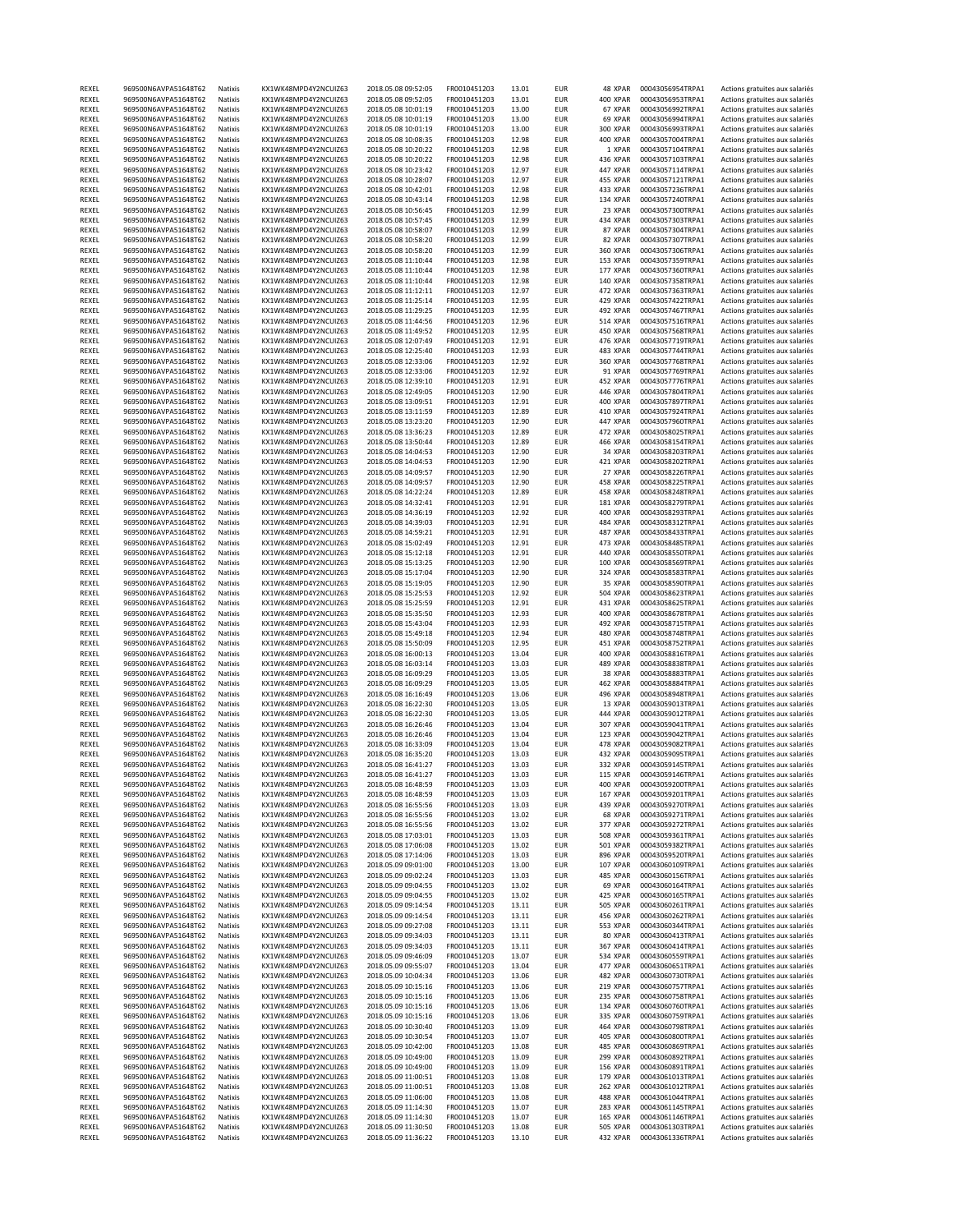| REXEL          | 969500N6AVPA51648T62                         | Natixis            | KX1WK48MPD4Y2NCUIZ63                         | 2018.05.08 09:52:05                        | FR0010451203                 | 13.01          | <b>EUR</b>               | 48 XPAR              | 00043056954TRPA1                     | Actions gratuites aux salariés                                   |
|----------------|----------------------------------------------|--------------------|----------------------------------------------|--------------------------------------------|------------------------------|----------------|--------------------------|----------------------|--------------------------------------|------------------------------------------------------------------|
| REXEL          | 969500N6AVPA51648T62                         | Natixis            | KX1WK48MPD4Y2NCUIZ63                         | 2018.05.08 09:52:05                        | FR0010451203                 | 13.01          | <b>EUR</b>               | 400 XPAR             | 00043056953TRPA1                     | Actions gratuites aux salariés                                   |
| REXEL          | 969500N6AVPA51648T62                         | Natixis            | KX1WK48MPD4Y2NCUIZ63                         | 2018.05.08 10:01:19                        | FR0010451203                 | 13.00          | <b>EUR</b>               | 67 XPAR              | 00043056992TRPA1                     | Actions gratuites aux salariés                                   |
| REXEL          | 969500N6AVPA51648T62                         | Natixis            | KX1WK48MPD4Y2NCUIZ63                         | 2018.05.08 10:01:19                        | FR0010451203                 | 13.00          | <b>EUR</b>               | 69 XPAR              | 00043056994TRPA1                     | Actions gratuites aux salariés                                   |
| REXEL          | 969500N6AVPA51648T62                         | Natixis            | KX1WK48MPD4Y2NCUIZ63                         | 2018.05.08 10:01:19                        | FR0010451203                 | 13.00          | <b>EUR</b>               | 300 XPAR             | 00043056993TRPA1                     | Actions gratuites aux salariés                                   |
| REXEL          | 969500N6AVPA51648T62                         | Natixis            | KX1WK48MPD4Y2NCUIZ63                         | 2018.05.08 10:08:35                        | FR0010451203                 | 12.98          | <b>EUR</b>               | 400 XPAR             | 00043057004TRPA1                     | Actions gratuites aux salariés                                   |
| REXEL          | 969500N6AVPA51648T62                         | Natixis            | KX1WK48MPD4Y2NCUIZ63                         |                                            |                              | 12.98          | <b>EUR</b>               | 1 XPAR               |                                      | Actions gratuites aux salariés                                   |
| REXEL          | 969500N6AVPA51648T62                         | Natixis            | KX1WK48MPD4Y2NCUIZ63                         | 2018.05.08 10:20:22<br>2018.05.08 10:20:22 | FR0010451203<br>FR0010451203 | 12.98          | <b>EUR</b>               | 436 XPAR             | 00043057104TRPA1<br>00043057103TRPA1 | Actions gratuites aux salariés                                   |
|                |                                              |                    | KX1WK48MPD4Y2NCUIZ63                         |                                            |                              |                |                          | 447 XPAR             | 00043057114TRPA1                     |                                                                  |
| REXEL          | 969500N6AVPA51648T62                         | Natixis            |                                              | 2018.05.08 10:23:42                        | FR0010451203                 | 12.97          | <b>EUR</b>               |                      |                                      | Actions gratuites aux salariés                                   |
| REXEL          | 969500N6AVPA51648T62                         | Natixis            | KX1WK48MPD4Y2NCUIZ63                         | 2018.05.08 10:28:07                        | FR0010451203                 | 12.97          | <b>EUR</b>               | 455 XPAR             | 00043057121TRPA1                     | Actions gratuites aux salariés                                   |
| REXEL          | 969500N6AVPA51648T62                         | Natixis            | KX1WK48MPD4Y2NCUIZ63                         | 2018.05.08 10:42:01                        | FR0010451203                 | 12.98          | <b>EUR</b>               | 433 XPAR             | 00043057236TRPA1                     | Actions gratuites aux salariés                                   |
| REXEL          | 969500N6AVPA51648T62                         | Natixis            | KX1WK48MPD4Y2NCUIZ63                         | 2018.05.08 10:43:14                        | FR0010451203                 | 12.98          | <b>EUR</b>               | 134 XPAR             | 00043057240TRPA1                     | Actions gratuites aux salariés                                   |
| REXEL          | 969500N6AVPA51648T62                         | Natixis            | KX1WK48MPD4Y2NCUIZ63                         | 2018.05.08 10:56:45                        | FR0010451203                 | 12.99          | <b>EUR</b>               | 23 XPAR              | 00043057300TRPA1                     | Actions gratuites aux salariés                                   |
| REXEL          | 969500N6AVPA51648T62                         | Natixis            | KX1WK48MPD4Y2NCUIZ63                         | 2018.05.08 10:57:45                        | FR0010451203                 | 12.99          | <b>EUR</b>               | 434 XPAR             | 00043057303TRPA1                     | Actions gratuites aux salariés                                   |
| REXEL          | 969500N6AVPA51648T62                         | Natixis            | KX1WK48MPD4Y2NCUIZ63                         | 2018.05.08 10:58:07                        | FR0010451203                 | 12.99          | <b>EUR</b>               | 87 XPAR              | 00043057304TRPA1                     | Actions gratuites aux salariés                                   |
| REXEL          | 969500N6AVPA51648T62                         | Natixis            | KX1WK48MPD4Y2NCUIZ63                         | 2018.05.08 10:58:20                        | FR0010451203                 | 12.99          | <b>EUR</b>               | 82 XPAR              | 00043057307TRPA1                     | Actions gratuites aux salariés                                   |
| REXEL          | 969500N6AVPA51648T62                         | Natixis            | KX1WK48MPD4Y2NCUIZ63                         | 2018.05.08 10:58:20                        | FR0010451203                 | 12.99          | <b>EUR</b>               | 360 XPAR             | 00043057306TRPA1                     | Actions gratuites aux salariés                                   |
| REXEL          | 969500N6AVPA51648T62                         | Natixis            | KX1WK48MPD4Y2NCUIZ63                         | 2018.05.08 11:10:44                        | FR0010451203                 | 12.98          | <b>EUR</b>               | 153 XPAR             | 00043057359TRPA1                     | Actions gratuites aux salariés                                   |
| REXEL          | 969500N6AVPA51648T62                         | Natixis            | KX1WK48MPD4Y2NCUIZ63                         | 2018.05.08 11:10:44                        | FR0010451203                 | 12.98          | <b>EUR</b>               | 177 XPAR             | 00043057360TRPA1                     | Actions gratuites aux salariés                                   |
| REXEL          | 969500N6AVPA51648T62                         | Natixis            | KX1WK48MPD4Y2NCUIZ63                         | 2018.05.08 11:10:44                        | FR0010451203                 | 12.98          | <b>EUR</b>               | 140 XPAR             | 00043057358TRPA1                     | Actions gratuites aux salariés                                   |
| REXEL          | 969500N6AVPA51648T62                         | Natixis            | KX1WK48MPD4Y2NCUIZ63                         | 2018.05.08 11:12:11                        | FR0010451203                 | 12.97          | <b>EUR</b>               | 472 XPAR             | 00043057363TRPA1                     | Actions gratuites aux salariés                                   |
|                | 969500N6AVPA51648T62                         |                    | KX1WK48MPD4Y2NCUIZ63                         | 2018.05.08 11:25:14                        | FR0010451203                 |                |                          |                      |                                      |                                                                  |
| REXEL          |                                              | Natixis            |                                              |                                            |                              | 12.95          | <b>EUR</b>               | 429 XPAR             | 00043057422TRPA1                     | Actions gratuites aux salariés                                   |
| REXEL          | 969500N6AVPA51648T62                         | Natixis            | KX1WK48MPD4Y2NCUIZ63                         | 2018.05.08 11:29:25                        | FR0010451203                 | 12.95          | <b>EUR</b>               | 492 XPAR             | 00043057467TRPA1                     | Actions gratuites aux salariés                                   |
| REXEL          | 969500N6AVPA51648T62                         | Natixis            | KX1WK48MPD4Y2NCUIZ63                         | 2018.05.08 11:44:56                        | FR0010451203                 | 12.96          | <b>EUR</b>               | 514 XPAR             | 00043057516TRPA1                     | Actions gratuites aux salariés                                   |
| REXEL          | 969500N6AVPA51648T62                         | Natixis            | KX1WK48MPD4Y2NCUIZ63                         | 2018.05.08 11:49:52                        | FR0010451203                 | 12.95          | <b>EUR</b>               | 450 XPAR             | 00043057568TRPA1                     | Actions gratuites aux salariés                                   |
| REXEL          | 969500N6AVPA51648T62                         | Natixis            | KX1WK48MPD4Y2NCUIZ63                         | 2018.05.08 12:07:49                        | FR0010451203                 | 12.91          | <b>EUR</b>               | 476 XPAR             | 00043057719TRPA1                     | Actions gratuites aux salariés                                   |
| REXEL          | 969500N6AVPA51648T62                         | Natixis            | KX1WK48MPD4Y2NCUIZ63                         | 2018.05.08 12:25:40                        | FR0010451203                 | 12.93          | <b>EUR</b>               | 483 XPAR             | 00043057744TRPA1                     | Actions gratuites aux salariés                                   |
| REXEL          | 969500N6AVPA51648T62                         | Natixis            | KX1WK48MPD4Y2NCUIZ63                         | 2018.05.08 12:33:06                        | FR0010451203                 | 12.92          | <b>EUR</b>               | 360 XPAR             | 00043057768TRPA1                     | Actions gratuites aux salariés                                   |
| REXEL          | 969500N6AVPA51648T62                         | Natixis            | KX1WK48MPD4Y2NCUIZ63                         | 2018.05.08 12:33:06                        | FR0010451203                 | 12.92          | <b>EUR</b>               | 91 XPAR              | 00043057769TRPA1                     | Actions gratuites aux salariés                                   |
| REXEL          | 969500N6AVPA51648T62                         | Natixis            | KX1WK48MPD4Y2NCUIZ63                         | 2018.05.08 12:39:10                        | FR0010451203                 | 12.91          | <b>EUR</b>               | 452 XPAR             | 00043057776TRPA1                     | Actions gratuites aux salariés                                   |
| REXEL          | 969500N6AVPA51648T62                         | Natixis            | KX1WK48MPD4Y2NCUIZ63                         | 2018.05.08 12:49:05                        | FR0010451203                 | 12.90          | <b>EUR</b>               | 446 XPAR             | 00043057804TRPA1                     | Actions gratuites aux salariés                                   |
| REXEL          | 969500N6AVPA51648T62                         | Natixis            | KX1WK48MPD4Y2NCUIZ63                         | 2018.05.08 13:09:51                        | FR0010451203                 | 12.91          | <b>EUR</b>               | 400 XPAR             | 00043057897TRPA1                     | Actions gratuites aux salariés                                   |
| REXEL          | 969500N6AVPA51648T62                         | Natixis            | KX1WK48MPD4Y2NCUIZ63                         | 2018.05.08 13:11:59                        | FR0010451203                 | 12.89          | <b>EUR</b>               | 410 XPAR             | 00043057924TRPA1                     | Actions gratuites aux salariés                                   |
| REXEL          | 969500N6AVPA51648T62                         | Natixis            | KX1WK48MPD4Y2NCUIZ63                         | 2018.05.08 13:23:20                        | FR0010451203                 | 12.90          | <b>EUR</b>               | 447 XPAR             | 00043057960TRPA1                     | Actions gratuites aux salariés                                   |
|                |                                              |                    |                                              |                                            |                              |                |                          |                      |                                      |                                                                  |
| REXEL          | 969500N6AVPA51648T62                         | Natixis            | KX1WK48MPD4Y2NCUIZ63                         | 2018.05.08 13:36:23                        | FR0010451203                 | 12.89          | <b>EUR</b>               | 472 XPAR             | 00043058025TRPA1                     | Actions gratuites aux salariés                                   |
| REXEL          | 969500N6AVPA51648T62                         | Natixis            | KX1WK48MPD4Y2NCUIZ63                         | 2018.05.08 13:50:44                        | FR0010451203                 | 12.89          | <b>EUR</b>               | 466 XPAR             | 00043058154TRPA1                     | Actions gratuites aux salariés                                   |
| REXEL          | 969500N6AVPA51648T62                         | Natixis            | KX1WK48MPD4Y2NCUIZ63                         | 2018.05.08 14:04:53                        | FR0010451203                 | 12.90          | <b>EUR</b>               | 34 XPAR              | 00043058203TRPA1                     | Actions gratuites aux salariés                                   |
| REXEL          | 969500N6AVPA51648T62                         | Natixis            | KX1WK48MPD4Y2NCUIZ63                         | 2018.05.08 14:04:53                        | FR0010451203                 | 12.90          | <b>EUR</b>               | 421 XPAR             | 00043058202TRPA1                     | Actions gratuites aux salariés                                   |
| REXEL          | 969500N6AVPA51648T62                         | Natixis            | KX1WK48MPD4Y2NCUIZ63                         | 2018.05.08 14:09:57                        | FR0010451203                 | 12.90          | <b>EUR</b>               | 27 XPAR              | 00043058226TRPA1                     | Actions gratuites aux salariés                                   |
| REXEL          | 969500N6AVPA51648T62                         | Natixis            | KX1WK48MPD4Y2NCUIZ63                         | 2018.05.08 14:09:57                        | FR0010451203                 | 12.90          | <b>EUR</b>               | 458 XPAR             | 00043058225TRPA1                     | Actions gratuites aux salariés                                   |
| REXEL          | 969500N6AVPA51648T62                         | Natixis            | KX1WK48MPD4Y2NCUIZ63                         | 2018.05.08 14:22:24                        | FR0010451203                 | 12.89          | <b>EUR</b>               | 458 XPAR             | 00043058248TRPA1                     | Actions gratuites aux salariés                                   |
| REXEL          | 969500N6AVPA51648T62                         | Natixis            | KX1WK48MPD4Y2NCUIZ63                         | 2018.05.08 14:32:41                        | FR0010451203                 | 12.91          | <b>EUR</b>               | 181 XPAR             | 00043058279TRPA1                     | Actions gratuites aux salariés                                   |
| REXEL          | 969500N6AVPA51648T62                         | Natixis            | KX1WK48MPD4Y2NCUIZ63                         | 2018.05.08 14:36:19                        | FR0010451203                 | 12.92          | <b>EUR</b>               | 400 XPAR             | 00043058293TRPA1                     | Actions gratuites aux salariés                                   |
| REXEL          | 969500N6AVPA51648T62                         | Natixis            | KX1WK48MPD4Y2NCUIZ63                         | 2018.05.08 14:39:03                        | FR0010451203                 | 12.91          | <b>EUR</b>               | 484 XPAR             | 00043058312TRPA1                     | Actions gratuites aux salariés                                   |
| REXEL          | 969500N6AVPA51648T62                         | Natixis            | KX1WK48MPD4Y2NCUIZ63                         | 2018.05.08 14:59:21                        | FR0010451203                 | 12.91          | <b>EUR</b>               | 487 XPAR             | 00043058433TRPA1                     | Actions gratuites aux salariés                                   |
| REXEL          | 969500N6AVPA51648T62                         | Natixis            | KX1WK48MPD4Y2NCUIZ63                         | 2018.05.08 15:02:49                        | FR0010451203                 | 12.91          | <b>EUR</b>               | 473 XPAR             | 00043058485TRPA1                     | Actions gratuites aux salariés                                   |
| REXEL          | 969500N6AVPA51648T62                         | Natixis            | KX1WK48MPD4Y2NCUIZ63                         | 2018.05.08 15:12:18                        | FR0010451203                 | 12.91          | <b>EUR</b>               | 440 XPAR             | 00043058550TRPA1                     | Actions gratuites aux salariés                                   |
|                |                                              |                    |                                              |                                            |                              |                |                          |                      |                                      |                                                                  |
| REXEL          | 969500N6AVPA51648T62                         | Natixis            | KX1WK48MPD4Y2NCUIZ63                         | 2018.05.08 15:13:25                        | FR0010451203                 | 12.90          | <b>EUR</b>               | 100 XPAR             | 00043058569TRPA1                     | Actions gratuites aux salariés                                   |
| REXEL          | 969500N6AVPA51648T62                         | Natixis            | KX1WK48MPD4Y2NCUIZ63                         | 2018.05.08 15:17:04                        | FR0010451203                 | 12.90          | <b>EUR</b>               | 324 XPAR             | 00043058583TRPA1                     | Actions gratuites aux salariés                                   |
| REXEL          | 969500N6AVPA51648T62                         | Natixis            | KX1WK48MPD4Y2NCUIZ63                         | 2018.05.08 15:19:05                        | FR0010451203                 | 12.90          | <b>EUR</b>               | 35 XPAR              | 00043058590TRPA1                     | Actions gratuites aux salariés                                   |
| REXEL          | 969500N6AVPA51648T62                         | Natixis            | KX1WK48MPD4Y2NCUIZ63                         | 2018.05.08 15:25:53                        | FR0010451203                 | 12.92          | <b>EUR</b>               | <b>504 XPAR</b>      | 00043058623TRPA1                     | Actions gratuites aux salariés                                   |
| REXEL          | 969500N6AVPA51648T62                         | Natixis            | KX1WK48MPD4Y2NCUIZ63                         | 2018.05.08 15:25:59                        | FR0010451203                 | 12.91          | <b>EUR</b>               | 431 XPAR             | 00043058625TRPA1                     | Actions gratuites aux salariés                                   |
| REXEL          | 969500N6AVPA51648T62                         | Natixis            | KX1WK48MPD4Y2NCUIZ63                         | 2018.05.08 15:35:50                        | FR0010451203                 | 12.93          | <b>EUR</b>               | 400 XPAR             | 00043058678TRPA1                     | Actions gratuites aux salariés                                   |
| REXEL          | 969500N6AVPA51648T62                         | Natixis            | KX1WK48MPD4Y2NCUIZ63                         | 2018.05.08 15:43:04                        | FR0010451203                 | 12.93          | <b>EUR</b>               | 492 XPAR             | 00043058715TRPA1                     | Actions gratuites aux salariés                                   |
| REXEL          | 969500N6AVPA51648T62                         | Natixis            | KX1WK48MPD4Y2NCUIZ63                         | 2018.05.08 15:49:18                        | FR0010451203                 | 12.94          | <b>EUR</b>               | 480 XPAR             | 00043058748TRPA1                     | Actions gratuites aux salariés                                   |
| REXEL          | 969500N6AVPA51648T62                         | Natixis            | KX1WK48MPD4Y2NCUIZ63                         | 2018.05.08 15:50:09                        | FR0010451203                 | 12.95          | <b>EUR</b>               | 451 XPAR             | 00043058752TRPA1                     | Actions gratuites aux salariés                                   |
| REXEL          | 969500N6AVPA51648T62                         | Natixis            | KX1WK48MPD4Y2NCUIZ63                         | 2018.05.08 16:00:13                        | FR0010451203                 | 13.04          | <b>EUR</b>               | 400 XPAR             | 00043058816TRPA1                     | Actions gratuites aux salariés                                   |
| REXEL          | 969500N6AVPA51648T62                         | Natixis            | KX1WK48MPD4Y2NCUIZ63                         | 2018.05.08 16:03:14                        | FR0010451203                 | 13.03          | <b>EUR</b>               | 489 XPAR             | 00043058838TRPA1                     | Actions gratuites aux salariés                                   |
| REXEL          | 969500N6AVPA51648T62                         | Natixis            | KX1WK48MPD4Y2NCUIZ63                         | 2018.05.08 16:09:29                        | FR0010451203                 | 13.05          | <b>EUR</b>               | 38 XPAR              | 00043058883TRPA1                     | Actions gratuites aux salariés                                   |
| REXEL          | 969500N6AVPA51648T62                         | Natixis            | KX1WK48MPD4Y2NCUIZ63                         | 2018.05.08 16:09:29                        | FR0010451203                 | 13.05          | <b>EUR</b>               | 462 XPAR             | 00043058884TRPA1                     | Actions gratuites aux salariés                                   |
|                | 969500N6AVPA51648T62                         |                    |                                              |                                            |                              |                |                          | 496 XPAR             |                                      |                                                                  |
| REXEL          |                                              | Natixis            | KX1WK48MPD4Y2NCUIZ63                         | 2018.05.08 16:16:49                        | FR0010451203                 | 13.06          | <b>EUR</b>               |                      | 00043058948TRPA1                     | Actions gratuites aux salariés                                   |
| REXEL          | 969500N6AVPA51648T62                         | Natixis            | KX1WK48MPD4Y2NCUIZ63                         | 2018.05.08 16:22:30                        | FR0010451203                 | 13.05          | <b>EUR</b>               | 13 XPAR              | 00043059013TRPA1                     | Actions gratuites aux salariés                                   |
| REXEL          | 969500N6AVPA51648T62                         | Natixis            | KX1WK48MPD4Y2NCUIZ63                         | 2018.05.08 16:22:30                        | FR0010451203                 | 13.05          | <b>EUR</b>               | 444 XPAR             | 00043059012TRPA1                     | Actions gratuites aux salariés                                   |
| REXEL          | 969500N6AVPA51648T62                         | Natixis            | KX1WK48MPD4Y2NCUIZ63                         | 2018.05.08 16:26:46                        | FR0010451203                 | 13.04          | <b>EUR</b>               | 307 XPAR             | 00043059041TRPA1                     | Actions gratuites aux salariés                                   |
| REXEL          | 969500N6AVPA51648T62                         | Natixis            | KX1WK48MPD4Y2NCUIZ63                         | 2018.05.08 16:26:46                        | FR0010451203                 | 13.04          | <b>EUR</b>               | 123 XPAR             | 00043059042TRPA1                     | Actions gratuites aux salariés                                   |
| REXEL          | 969500N6AVPA51648T62                         | Natixis            | KX1WK48MPD4Y2NCUIZ63                         | 2018.05.08 16:33:09                        | FR0010451203                 | 13.04          | <b>EUR</b>               | 478 XPAR             | 00043059082TRPA1                     | Actions gratuites aux salariés                                   |
| REXEL          | 969500N6AVPA51648T62                         | Natixis            | KX1WK48MPD4Y2NCUIZ63                         | 2018.05.08 16:35:20                        | FR0010451203                 | 13.03          | <b>EUR</b>               | 432 XPAR             | 00043059095TRPA1                     | Actions gratuites aux salariés                                   |
| REXEL          | 969500N6AVPA51648T62                         | Natixis            | KX1WK48MPD4Y2NCUIZ63                         | 2018.05.08 16:41:27                        | FR0010451203                 | 13.03          | <b>EUR</b>               | 332 XPAR             | 00043059145TRPA1                     | Actions gratuites aux salariés                                   |
| REXEL          | 969500N6AVPA51648T62                         | Natixis            | KX1WK48MPD4Y2NCUIZ63                         | 2018.05.08 16:41:27                        | FR0010451203                 | 13.03          | <b>EUR</b>               | 115 XPAR             | 00043059146TRPA1                     | Actions gratuites aux salariés                                   |
| REXEL          | 969500N6AVPA51648T62                         | Natixis            | KX1WK48MPD4Y2NCUIZ63                         | 2018.05.08 16:48:59                        | FR0010451203                 | 13.03          | <b>EUR</b>               | 400 XPAR             | 00043059200TRPA1                     | Actions gratuites aux salariés                                   |
| REXEL          | 969500N6AVPA51648T62                         | Natixis            | KX1WK48MPD4Y2NCUIZ63                         | 2018.05.08 16:48:59                        | FR0010451203                 | 13.03          | <b>EUR</b>               | 167 XPAR             | 00043059201TRPA1                     | Actions gratuites aux salariés                                   |
| REXEL          | 969500N6AVPA51648T62                         | Natixis            | KX1WK48MPD4Y2NCUIZ63                         | 2018.05.08 16:55:56                        | FR0010451203                 | 13.03          | <b>EUR</b>               | 439 XPAR             | 00043059270TRPA1                     | Actions gratuites aux salariés                                   |
| REXEL          | 969500N6AVPA51648T62                         | Natixis            | KX1WK48MPD4Y2NCUIZ63                         | 2018.05.08 16:55:56                        | FR0010451203                 | 13.02          | <b>EUR</b>               | 68 XPAR              | 00043059271TRPA1                     | Actions gratuites aux salariés                                   |
| REXEL          | 969500N6AVPA51648T62                         | Natixis            | KX1WK48MPD4Y2NCUIZ63                         | 2018.05.08 16:55:56                        | FR0010451203                 | 13.02          | <b>EUR</b>               | 377 XPAR             | 00043059272TRPA1                     | Actions gratuites aux salariés                                   |
| REXEL          | 969500N6AVPA51648T62                         | Natixis            | KX1WK48MPD4Y2NCUIZ63                         | 2018.05.08 17:03:01                        | FR0010451203                 | 13.03          | <b>EUR</b>               | <b>508 XPAR</b>      | 00043059361TRPA1                     | Actions gratuites aux salariés                                   |
| REXEL          | 969500N6AVPA51648T62                         | Natixis            | KX1WK48MPD4Y2NCUIZ63                         | 2018.05.08 17:06:08                        | FR0010451203                 | 13.02          | <b>EUR</b>               | 501 XPAR             | 00043059382TRPA1                     | Actions gratuites aux salariés                                   |
| REXEL          | 969500N6AVPA51648T62                         | Natixis            | KX1WK48MPD4Y2NCUIZ63                         | 2018.05.08 17:14:06                        | FR0010451203                 | 13.03          | <b>EUR</b>               | 896 XPAR             | 00043059520TRPA1                     | Actions gratuites aux salariés                                   |
|                |                                              |                    |                                              |                                            |                              |                |                          |                      |                                      |                                                                  |
| REXEL          | 969500N6AVPA51648T62                         | Natixis            | KX1WK48MPD4Y2NCUIZ63                         | 2018.05.09 09:01:00                        | FR0010451203                 | 13.00          | <b>EUR</b>               | 107 XPAR             | 00043060109TRPA1                     | Actions gratuites aux salariés                                   |
| REXEL          | 969500N6AVPA51648T62                         | Natixis            | KX1WK48MPD4Y2NCUIZ63                         | 2018.05.09 09:02:24                        | FR0010451203                 | 13.03          | <b>EUR</b>               | 485 XPAR             | 00043060156TRPA1                     | Actions gratuites aux salariés                                   |
| REXEL          | 969500N6AVPA51648T62                         | Natixis            | KX1WK48MPD4Y2NCUIZ63                         | 2018.05.09 09:04:55                        | FR0010451203                 | 13.02          | <b>EUR</b>               | 69 XPAR              | 00043060164TRPA1                     | Actions gratuites aux salariés                                   |
| REXEL          | 969500N6AVPA51648T62                         | Natixis            | KX1WK48MPD4Y2NCUIZ63                         | 2018.05.09 09:04:55                        | FR0010451203                 | 13.02          | <b>EUR</b>               | 425 XPAR             | 00043060165TRPA1                     | Actions gratuites aux salariés                                   |
| REXEL          | 969500N6AVPA51648T62                         | Natixis            | KX1WK48MPD4Y2NCUIZ63                         | 2018.05.09 09:14:54                        | FR0010451203                 | 13.11          | <b>EUR</b>               | 505 XPAR             | 00043060261TRPA1                     | Actions gratuites aux salariés                                   |
| REXEL          | 969500N6AVPA51648T62                         | Natixis            | KX1WK48MPD4Y2NCUIZ63                         | 2018.05.09 09:14:54                        | FR0010451203                 | 13.11          | <b>EUR</b>               | 456 XPAR             | 00043060262TRPA1                     | Actions gratuites aux salariés                                   |
| REXEL          | 969500N6AVPA51648T62                         | Natixis            | KX1WK48MPD4Y2NCUIZ63                         | 2018.05.09 09:27:08                        | FR0010451203                 | 13.11          | <b>EUR</b>               | <b>553 XPAR</b>      | 00043060344TRPA1                     | Actions gratuites aux salariés                                   |
| REXEL          | 969500N6AVPA51648T62                         | Natixis            | KX1WK48MPD4Y2NCUIZ63                         | 2018.05.09 09:34:03                        | FR0010451203                 | 13.11          | <b>EUR</b>               | 80 XPAR              | 00043060413TRPA1                     | Actions gratuites aux salariés                                   |
| REXEL          | 969500N6AVPA51648T62                         | Natixis            | KX1WK48MPD4Y2NCUIZ63                         | 2018.05.09 09:34:03                        | FR0010451203                 | 13.11          | <b>EUR</b>               | 367 XPAR             | 00043060414TRPA1                     | Actions gratuites aux salariés                                   |
| REXEL          | 969500N6AVPA51648T62                         | Natixis            | KX1WK48MPD4Y2NCUIZ63                         | 2018.05.09 09:46:09                        | FR0010451203                 | 13.07          | <b>EUR</b>               | <b>534 XPAR</b>      | 00043060559TRPA1                     | Actions gratuites aux salariés                                   |
| REXEL          | 969500N6AVPA51648T62                         | Natixis            | KX1WK48MPD4Y2NCUIZ63                         | 2018.05.09 09:55:07                        | FR0010451203                 | 13.04          | <b>EUR</b>               | 477 XPAR             | 00043060651TRPA1                     | Actions gratuites aux salariés                                   |
| REXEL          | 969500N6AVPA51648T62                         | Natixis            | KX1WK48MPD4Y2NCUIZ63                         | 2018.05.09 10:04:34                        | FR0010451203                 | 13.06          | <b>EUR</b>               | 482 XPAR             | 00043060730TRPA1                     | Actions gratuites aux salariés                                   |
| REXEL          | 969500N6AVPA51648T62                         | Natixis            | KX1WK48MPD4Y2NCUIZ63                         | 2018.05.09 10:15:16                        | FR0010451203                 | 13.06          | <b>EUR</b>               | 219 XPAR             | 00043060757TRPA1                     | Actions gratuites aux salariés                                   |
|                |                                              |                    |                                              |                                            |                              |                |                          |                      |                                      |                                                                  |
| REXEL          | 969500N6AVPA51648T62                         | Natixis            | KX1WK48MPD4Y2NCUIZ63                         | 2018.05.09 10:15:16                        | FR0010451203                 | 13.06          | <b>EUR</b>               | 235 XPAR             | 00043060758TRPA1                     | Actions gratuites aux salariés                                   |
| REXEL          | 969500N6AVPA51648T62                         | Natixis            | KX1WK48MPD4Y2NCUIZ63                         | 2018.05.09 10:15:16                        | FR0010451203                 | 13.06          | <b>EUR</b>               | 134 XPAR             | 00043060760TRPA1                     | Actions gratuites aux salariés                                   |
|                |                                              | Natixis            | KX1WK48MPD4Y2NCUIZ63                         | 2018.05.09 10:15:16                        | FR0010451203                 | 13.06          | <b>EUR</b>               | 335 XPAR             | 00043060759TRPA1                     | Actions gratuites aux salariés                                   |
| REXEL          | 969500N6AVPA51648T62                         |                    |                                              |                                            | FR0010451203                 | 13.09          | <b>EUR</b>               | 464 XPAR             | 00043060798TRPA1                     | Actions gratuites aux salariés                                   |
| REXEL          | 969500N6AVPA51648T62                         | Natixis            | KX1WK48MPD4Y2NCUIZ63                         | 2018.05.09 10:30:40                        |                              |                |                          |                      |                                      |                                                                  |
| REXEL          | 969500N6AVPA51648T62                         | Natixis            | KX1WK48MPD4Y2NCUIZ63                         | 2018.05.09 10:30:54                        | FR0010451203                 | 13.07          | <b>EUR</b>               | 405 XPAR             | 00043060800TRPA1                     | Actions gratuites aux salariés                                   |
| REXEL          | 969500N6AVPA51648T62                         | Natixis            | KX1WK48MPD4Y2NCUIZ63                         | 2018.05.09 10:42:00                        | FR0010451203                 | 13.08          | <b>EUR</b>               | 485 XPAR             | 00043060869TRPA1                     | Actions gratuites aux salariés                                   |
| REXEL          | 969500N6AVPA51648T62                         | Natixis            | KX1WK48MPD4Y2NCUIZ63                         | 2018.05.09 10:49:00                        | FR0010451203                 | 13.09          | <b>EUR</b>               | 299 XPAR             | 00043060892TRPA1                     | Actions gratuites aux salariés                                   |
| REXEL          | 969500N6AVPA51648T62                         | Natixis            | KX1WK48MPD4Y2NCUIZ63                         | 2018.05.09 10:49:00                        | FR0010451203                 | 13.09          | <b>EUR</b>               | <b>156 XPAR</b>      | 00043060891TRPA1                     | Actions gratuites aux salariés                                   |
| REXEL          | 969500N6AVPA51648T62                         | Natixis            | KX1WK48MPD4Y2NCUIZ63                         | 2018.05.09 11:00:51                        | FR0010451203                 | 13.08          | <b>EUR</b>               | 179 XPAR             | 00043061013TRPA1                     | Actions gratuites aux salariés                                   |
|                |                                              |                    |                                              |                                            |                              |                |                          |                      |                                      |                                                                  |
| REXEL          | 969500N6AVPA51648T62                         | Natixis            | KX1WK48MPD4Y2NCUIZ63                         | 2018.05.09 11:00:51                        | FR0010451203                 | 13.08          | <b>EUR</b>               | 262 XPAR             | 00043061012TRPA1                     | Actions gratuites aux salariés                                   |
| REXEL          | 969500N6AVPA51648T62                         | Natixis            | KX1WK48MPD4Y2NCUIZ63                         | 2018.05.09 11:06:00                        | FR0010451203                 | 13.08          | EUR                      | 488 XPAR             | 00043061044TRPA1                     | Actions gratuites aux salariés                                   |
| REXEL          | 969500N6AVPA51648T62                         | Natixis            | KX1WK48MPD4Y2NCUIZ63                         | 2018.05.09 11:14:30                        | FR0010451203                 | 13.07          | <b>EUR</b>               | 283 XPAR             | 00043061145TRPA1                     | Actions gratuites aux salariés                                   |
| REXEL          | 969500N6AVPA51648T62                         | Natixis            | KX1WK48MPD4Y2NCUIZ63                         | 2018.05.09 11:14:30                        | FR0010451203                 | 13.07          | <b>EUR</b>               | 165 XPAR             | 00043061146TRPA1                     | Actions gratuites aux salariés                                   |
| REXEL<br>REXEL | 969500N6AVPA51648T62<br>969500N6AVPA51648T62 | Natixis<br>Natixis | KX1WK48MPD4Y2NCUIZ63<br>KX1WK48MPD4Y2NCUIZ63 | 2018.05.09 11:30:50<br>2018.05.09 11:36:22 | FR0010451203<br>FR0010451203 | 13.08<br>13.10 | <b>EUR</b><br><b>EUR</b> | 505 XPAR<br>432 XPAR | 00043061303TRPA1<br>00043061336TRPA1 | Actions gratuites aux salariés<br>Actions gratuites aux salariés |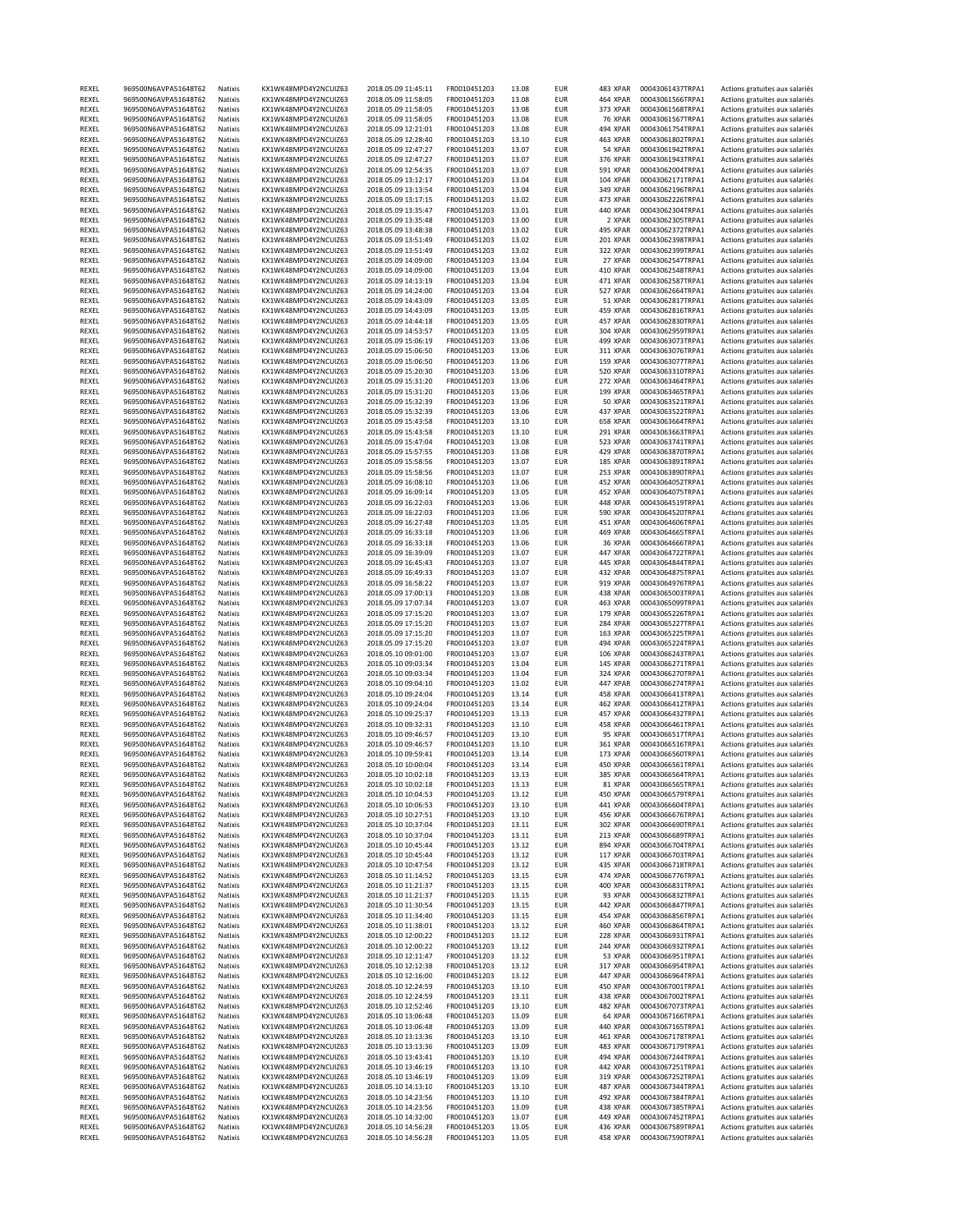| REXEL          | 969500N6AVPA51648T62                         | Natixis            | KX1WK48MPD4Y2NCUIZ63                         | 2018.05.09 11:45:11                        | FR0010451203                 | 13.08          | EUR               | 483 XPAR        | 00043061437TRPA1                     | Actions gratuites aux salariés                                   |
|----------------|----------------------------------------------|--------------------|----------------------------------------------|--------------------------------------------|------------------------------|----------------|-------------------|-----------------|--------------------------------------|------------------------------------------------------------------|
| REXEL          | 969500N6AVPA51648T62                         | Natixis            | KX1WK48MPD4Y2NCUIZ63                         | 2018.05.09 11:58:05                        | FR0010451203                 | 13.08          | <b>EUR</b>        | 464 XPAR        | 00043061566TRPA1                     | Actions gratuites aux salariés                                   |
| REXEL          | 969500N6AVPA51648T62                         | Natixis            | KX1WK48MPD4Y2NCUIZ63                         | 2018.05.09 11:58:05                        | FR0010451203                 | 13.08          | <b>EUR</b>        | 373 XPAR        | 00043061568TRPA1                     | Actions gratuites aux salariés                                   |
| REXEL          | 969500N6AVPA51648T62                         | Natixis            | KX1WK48MPD4Y2NCUIZ63                         | 2018.05.09 11:58:05                        | FR0010451203                 | 13.08          | EUR               | 76 XPAR         | 00043061567TRPA1                     | Actions gratuites aux salariés                                   |
| REXEL          | 969500N6AVPA51648T62                         | Natixis            | KX1WK48MPD4Y2NCUIZ63                         | 2018.05.09 12:21:01                        | FR0010451203                 | 13.08          | <b>EUR</b>        | 494 XPAR        | 00043061754TRPA1                     | Actions gratuites aux salariés                                   |
| REXEL          | 969500N6AVPA51648T62                         | Natixis            | KX1WK48MPD4Y2NCUIZ63                         | 2018.05.09 12:28:40                        | FR0010451203                 | 13.10          | <b>EUR</b>        | 463 XPAR        | 00043061802TRPA1                     | Actions gratuites aux salariés                                   |
| REXEL          | 969500N6AVPA51648T62                         | Natixis            | KX1WK48MPD4Y2NCUIZ63                         | 2018.05.09 12:47:27                        | FR0010451203                 | 13.07          | <b>EUR</b>        | 54 XPAR         | 00043061942TRPA1                     | Actions gratuites aux salariés                                   |
| REXEL          | 969500N6AVPA51648T62                         | Natixis            | KX1WK48MPD4Y2NCUIZ63                         | 2018.05.09 12:47:27                        | FR0010451203                 | 13.07          | EUR               | 376 XPAR        | 00043061943TRPA1                     | Actions gratuites aux salariés                                   |
| REXEL          | 969500N6AVPA51648T62                         | Natixis            | KX1WK48MPD4Y2NCUIZ63                         | 2018.05.09 12:54:35                        | FR0010451203                 | 13.07          | <b>EUR</b>        | <b>591 XPAR</b> | 00043062004TRPA1                     | Actions gratuites aux salariés                                   |
| REXEL          |                                              |                    | KX1WK48MPD4Y2NCUIZ63                         |                                            | FR0010451203                 | 13.04          |                   |                 | 00043062171TRPA1                     | Actions gratuites aux salariés                                   |
|                | 969500N6AVPA51648T62                         | Natixis            |                                              | 2018.05.09 13:12:17                        |                              |                | EUR               | 104 XPAR        |                                      |                                                                  |
| REXEL          | 969500N6AVPA51648T62                         | Natixis            | KX1WK48MPD4Y2NCUIZ63                         | 2018.05.09 13:13:54                        | FR0010451203                 | 13.04          | EUR               | 349 XPAR        | 00043062196TRPA1                     | Actions gratuites aux salariés                                   |
| REXEL          | 969500N6AVPA51648T62                         | Natixis            | KX1WK48MPD4Y2NCUIZ63                         | 2018.05.09 13:17:15                        | FR0010451203                 | 13.02          | <b>EUR</b>        | 473 XPAR        | 00043062226TRPA1                     | Actions gratuites aux salariés                                   |
| REXEL          | 969500N6AVPA51648T62                         | Natixis            | KX1WK48MPD4Y2NCUIZ63                         | 2018.05.09 13:35:47                        | FR0010451203                 | 13.01          | <b>EUR</b>        | 440 XPAR        | 00043062304TRPA1                     | Actions gratuites aux salariés                                   |
| REXEL          | 969500N6AVPA51648T62                         | Natixis            | KX1WK48MPD4Y2NCUIZ63                         | 2018.05.09 13:35:48                        | FR0010451203                 | 13.00          | EUR               | 2 XPAR          | 00043062305TRPA1                     | Actions gratuites aux salariés                                   |
| REXEL          | 969500N6AVPA51648T62                         | Natixis            | KX1WK48MPD4Y2NCUIZ63                         | 2018.05.09 13:48:38                        | FR0010451203                 | 13.02          | <b>EUR</b>        | 495 XPAR        | 00043062372TRPA1                     | Actions gratuites aux salariés                                   |
| REXEL          | 969500N6AVPA51648T62                         | Natixis            | KX1WK48MPD4Y2NCUIZ63                         | 2018.05.09 13:51:49                        | FR0010451203                 | 13.02          | <b>EUR</b>        | 201 XPAR        | 00043062398TRPA1                     | Actions gratuites aux salariés                                   |
| REXEL          | 969500N6AVPA51648T62                         | Natixis            | KX1WK48MPD4Y2NCUIZ63                         | 2018.05.09 13:51:49                        | FR0010451203                 | 13.02          | EUR               | 322 XPAR        | 00043062399TRPA1                     | Actions gratuites aux salariés                                   |
| REXEL          | 969500N6AVPA51648T62                         | Natixis            | KX1WK48MPD4Y2NCUIZ63                         | 2018.05.09 14:09:00                        | FR0010451203                 | 13.04          | <b>EUR</b>        | 27 XPAR         | 00043062547TRPA1                     | Actions gratuites aux salariés                                   |
| REXEL          | 969500N6AVPA51648T62                         | Natixis            | KX1WK48MPD4Y2NCUIZ63                         | 2018.05.09 14:09:00                        | FR0010451203                 | 13.04          | <b>EUR</b>        | 410 XPAR        | 00043062548TRPA1                     | Actions gratuites aux salariés                                   |
| REXEL          | 969500N6AVPA51648T62                         | Natixis            | KX1WK48MPD4Y2NCUIZ63                         | 2018.05.09 14:13:19                        | FR0010451203                 | 13.04          | <b>EUR</b>        | 471 XPAR        | 00043062587TRPA1                     | Actions gratuites aux salariés                                   |
| REXEL          | 969500N6AVPA51648T62                         | Natixis            | KX1WK48MPD4Y2NCUIZ63                         | 2018.05.09 14:24:00                        | FR0010451203                 | 13.04          | <b>EUR</b>        | 527 XPAR        | 00043062664TRPA1                     | Actions gratuites aux salariés                                   |
| REXEL          | 969500N6AVPA51648T62                         | Natixis            | KX1WK48MPD4Y2NCUIZ63                         | 2018.05.09 14:43:09                        | FR0010451203                 | 13.05          | <b>EUR</b>        | 51 XPAR         | 00043062817TRPA1                     | Actions gratuites aux salariés                                   |
| REXEL          | 969500N6AVPA51648T62                         | Natixis            | KX1WK48MPD4Y2NCUIZ63                         | 2018.05.09 14:43:09                        | FR0010451203                 | 13.05          | EUR               | 459 XPAR        | 00043062816TRPA1                     | Actions gratuites aux salariés                                   |
| REXEL          | 969500N6AVPA51648T62                         | Natixis            | KX1WK48MPD4Y2NCUIZ63                         | 2018.05.09 14:44:18                        | FR0010451203                 | 13.05          | <b>EUR</b>        | 457 XPAR        | 00043062830TRPA1                     | Actions gratuites aux salariés                                   |
| REXEL          | 969500N6AVPA51648T62                         | Natixis            | KX1WK48MPD4Y2NCUIZ63                         | 2018.05.09 14:53:57                        | FR0010451203                 | 13.05          | <b>EUR</b>        | 304 XPAR        | 00043062959TRPA1                     | Actions gratuites aux salariés                                   |
|                | 969500N6AVPA51648T62                         |                    |                                              |                                            |                              |                |                   |                 |                                      |                                                                  |
| REXEL          |                                              | Natixis            | KX1WK48MPD4Y2NCUIZ63                         | 2018.05.09 15:06:19                        | FR0010451203                 | 13.06          | EUR               | 499 XPAR        | 00043063073TRPA1                     | Actions gratuites aux salariés                                   |
| REXEL          | 969500N6AVPA51648T62                         | Natixis            | KX1WK48MPD4Y2NCUIZ63                         | 2018.05.09 15:06:50                        | FR0010451203                 | 13.06          | <b>EUR</b>        | 311 XPAR        | 00043063076TRPA1                     | Actions gratuites aux salariés                                   |
| REXEL          | 969500N6AVPA51648T62                         | Natixis            | KX1WK48MPD4Y2NCUIZ63                         | 2018.05.09 15:06:50                        | FR0010451203                 | 13.06          | <b>EUR</b>        | 159 XPAR        | 00043063077TRPA1                     | Actions gratuites aux salariés                                   |
| REXEL          | 969500N6AVPA51648T62                         | Natixis            | KX1WK48MPD4Y2NCUIZ63                         | 2018.05.09 15:20:30                        | FR0010451203                 | 13.06          | EUR               | <b>520 XPAR</b> | 00043063310TRPA1                     | Actions gratuites aux salariés                                   |
| REXEL          | 969500N6AVPA51648T62                         | Natixis            | KX1WK48MPD4Y2NCUIZ63                         | 2018.05.09 15:31:20                        | FR0010451203                 | 13.06          | <b>EUR</b>        | 272 XPAR        | 00043063464TRPA1                     | Actions gratuites aux salariés                                   |
| REXEL          | 969500N6AVPA51648T62                         | Natixis            | KX1WK48MPD4Y2NCUIZ63                         | 2018.05.09 15:31:20                        | FR0010451203                 | 13.06          | <b>EUR</b>        | 199 XPAR        | 00043063465TRPA1                     | Actions gratuites aux salariés                                   |
| REXEL          | 969500N6AVPA51648T62                         | Natixis            | KX1WK48MPD4Y2NCUIZ63                         | 2018.05.09 15:32:39                        | FR0010451203                 | 13.06          | <b>EUR</b>        | 50 XPAR         | 00043063521TRPA1                     | Actions gratuites aux salariés                                   |
| REXEL          | 969500N6AVPA51648T62                         | Natixis            | KX1WK48MPD4Y2NCUIZ63                         | 2018.05.09 15:32:39                        | FR0010451203                 | 13.06          | EUR               | 437 XPAR        | 00043063522TRPA1                     | Actions gratuites aux salariés                                   |
| REXEL          | 969500N6AVPA51648T62                         | Natixis            | KX1WK48MPD4Y2NCUIZ63                         | 2018.05.09 15:43:58                        | FR0010451203                 | 13.10          | <b>EUR</b>        | 658 XPAR        | 00043063664TRPA1                     | Actions gratuites aux salariés                                   |
| REXEL          | 969500N6AVPA51648T62                         | Natixis            | KX1WK48MPD4Y2NCUIZ63                         | 2018.05.09 15:43:58                        | FR0010451203                 | 13.10          | EUR               | 291 XPAR        | 00043063663TRPA1                     | Actions gratuites aux salariés                                   |
| REXEL          | 969500N6AVPA51648T62                         | Natixis            | KX1WK48MPD4Y2NCUIZ63                         | 2018.05.09 15:47:04                        | FR0010451203                 | 13.08          | EUR               | 523 XPAR        | 00043063741TRPA1                     | Actions gratuites aux salariés                                   |
| REXEL          | 969500N6AVPA51648T62                         | Natixis            | KX1WK48MPD4Y2NCUIZ63                         | 2018.05.09 15:57:55                        | FR0010451203                 | 13.08          | <b>EUR</b>        | 429 XPAR        | 00043063870TRPA1                     | Actions gratuites aux salariés                                   |
| REXEL          | 969500N6AVPA51648T62                         | Natixis            | KX1WK48MPD4Y2NCUIZ63                         |                                            | FR0010451203                 | 13.07          | EUR               | 185 XPAR        | 00043063891TRPA1                     |                                                                  |
|                |                                              |                    | KX1WK48MPD4Y2NCUIZ63                         | 2018.05.09 15:58:56                        |                              |                |                   |                 |                                      | Actions gratuites aux salariés                                   |
| REXEL          | 969500N6AVPA51648T62                         | Natixis            |                                              | 2018.05.09 15:58:56                        | FR0010451203                 | 13.07          | EUR               | 253 XPAR        | 00043063890TRPA1                     | Actions gratuites aux salariés                                   |
| REXEL          | 969500N6AVPA51648T62                         | Natixis            | KX1WK48MPD4Y2NCUIZ63                         | 2018.05.09 16:08:10                        | FR0010451203                 | 13.06          | EUR               | 452 XPAR        | 00043064052TRPA1                     | Actions gratuites aux salariés                                   |
| REXEL          | 969500N6AVPA51648T62                         | Natixis            | KX1WK48MPD4Y2NCUIZ63                         | 2018.05.09 16:09:14                        | FR0010451203                 | 13.05          | EUR               | 452 XPAR        | 00043064075TRPA1                     | Actions gratuites aux salariés                                   |
| REXEL          | 969500N6AVPA51648T62                         | Natixis            | KX1WK48MPD4Y2NCUIZ63                         | 2018.05.09 16:22:03                        | FR0010451203                 | 13.06          | EUR               | 448 XPAR        | 00043064519TRPA1                     | Actions gratuites aux salariés                                   |
| REXEL          | 969500N6AVPA51648T62                         | Natixis            | KX1WK48MPD4Y2NCUIZ63                         | 2018.05.09 16:22:03                        | FR0010451203                 | 13.06          | EUR               | <b>590 XPAR</b> | 00043064520TRPA1                     | Actions gratuites aux salariés                                   |
| REXEL          | 969500N6AVPA51648T62                         | Natixis            | KX1WK48MPD4Y2NCUIZ63                         | 2018.05.09 16:27:48                        | FR0010451203                 | 13.05          | <b>EUR</b>        | 451 XPAR        | 00043064606TRPA1                     | Actions gratuites aux salariés                                   |
| REXEL          | 969500N6AVPA51648T62                         | Natixis            | KX1WK48MPD4Y2NCUIZ63                         | 2018.05.09 16:33:18                        | FR0010451203                 | 13.06          | <b>EUR</b>        | 469 XPAR        | 00043064665TRPA1                     | Actions gratuites aux salariés                                   |
| REXEL          | 969500N6AVPA51648T62                         | Natixis            | KX1WK48MPD4Y2NCUIZ63                         | 2018.05.09 16:33:18                        | FR0010451203                 | 13.06          | <b>EUR</b>        | 36 XPAR         | 00043064666TRPA1                     | Actions gratuites aux salariés                                   |
| REXEL          | 969500N6AVPA51648T62                         | Natixis            | KX1WK48MPD4Y2NCUIZ63                         | 2018.05.09 16:39:09                        | FR0010451203                 | 13.07          | <b>EUR</b>        | 447 XPAR        | 00043064722TRPA1                     | Actions gratuites aux salariés                                   |
| REXEL          | 969500N6AVPA51648T62                         | Natixis            | KX1WK48MPD4Y2NCUIZ63                         | 2018.05.09 16:45:43                        | FR0010451203                 | 13.07          | EUR               | 445 XPAR        | 00043064844TRPA1                     | Actions gratuites aux salariés                                   |
| REXEL          | 969500N6AVPA51648T62                         | Natixis            | KX1WK48MPD4Y2NCUIZ63                         | 2018.05.09 16:49:33                        | FR0010451203                 | 13.07          | EUR               | 432 XPAR        | 00043064875TRPA1                     | Actions gratuites aux salariés                                   |
| REXEL          | 969500N6AVPA51648T62                         | Natixis            | KX1WK48MPD4Y2NCUIZ63                         | 2018.05.09 16:58:22                        | FR0010451203                 | 13.07          | <b>EUR</b>        | 919 XPAR        | 00043064976TRPA1                     | Actions gratuites aux salariés                                   |
| REXEL          | 969500N6AVPA51648T62                         | Natixis            | KX1WK48MPD4Y2NCUIZ63                         | 2018.05.09 17:00:13                        | FR0010451203                 | 13.08          | EUR               | 438 XPAR        |                                      | Actions gratuites aux salariés                                   |
|                |                                              |                    |                                              |                                            |                              |                |                   |                 | 00043065003TRPA1                     |                                                                  |
| REXEL          | 969500N6AVPA51648T62                         | Natixis            | KX1WK48MPD4Y2NCUIZ63                         | 2018.05.09 17:07:34                        | FR0010451203                 | 13.07          | <b>EUR</b>        | 463 XPAR        | 00043065099TRPA1                     | Actions gratuites aux salariés                                   |
| REXEL          | 969500N6AVPA51648T62                         | Natixis            | KX1WK48MPD4Y2NCUIZ63                         | 2018.05.09 17:15:20                        | FR0010451203                 | 13.07          | <b>EUR</b>        | 179 XPAR        | 00043065226TRPA1                     | Actions gratuites aux salariés                                   |
| REXEL          | 969500N6AVPA51648T62                         | Natixis            | KX1WK48MPD4Y2NCUIZ63                         | 2018.05.09 17:15:20                        | FR0010451203                 | 13.07          | EUR               | 284 XPAR        | 00043065227TRPA1                     | Actions gratuites aux salariés                                   |
| REXEL          | 969500N6AVPA51648T62                         | Natixis            | KX1WK48MPD4Y2NCUIZ63                         | 2018.05.09 17:15:20                        | FR0010451203                 | 13.07          | <b>EUR</b>        | 163 XPAR        | 00043065225TRPA1                     | Actions gratuites aux salariés                                   |
| REXEL          | 969500N6AVPA51648T62                         | Natixis            | KX1WK48MPD4Y2NCUIZ63                         | 2018.05.09 17:15:20                        | FR0010451203                 | 13.07          | <b>EUR</b>        | 494 XPAR        | 00043065224TRPA1                     | Actions gratuites aux salariés                                   |
| REXEL          | 969500N6AVPA51648T62                         | Natixis            | KX1WK48MPD4Y2NCUIZ63                         | 2018.05.10 09:01:00                        | FR0010451203                 | 13.07          | <b>EUR</b>        | 106 XPAR        | 00043066243TRPA1                     | Actions gratuites aux salariés                                   |
| REXEL          | 969500N6AVPA51648T62                         | Natixis            | KX1WK48MPD4Y2NCUIZ63                         | 2018.05.10 09:03:34                        | FR0010451203                 | 13.04          | <b>EUR</b>        | 145 XPAR        | 00043066271TRPA1                     | Actions gratuites aux salariés                                   |
| REXEL          | 969500N6AVPA51648T62                         | Natixis            | KX1WK48MPD4Y2NCUIZ63                         | 2018.05.10 09:03:34                        | FR0010451203                 | 13.04          | <b>EUR</b>        | 324 XPAR        | 00043066270TRPA1                     | Actions gratuites aux salariés                                   |
| REXEL          | 969500N6AVPA51648T62                         | Natixis            | KX1WK48MPD4Y2NCUIZ63                         | 2018.05.10 09:04:10                        | FR0010451203                 | 13.02          | EUR               | 447 XPAR        | 00043066274TRPA1                     | Actions gratuites aux salariés                                   |
| REXEL          | 969500N6AVPA51648T62                         | Natixis            | KX1WK48MPD4Y2NCUIZ63                         | 2018.05.10 09:24:04                        | FR0010451203                 | 13.14          | EUR               | 458 XPAR        | 00043066413TRPA1                     | Actions gratuites aux salariés                                   |
| REXEL          | 969500N6AVPA51648T62                         | Natixis            | KX1WK48MPD4Y2NCUIZ63                         | 2018.05.10 09:24:04                        | FR0010451203                 | 13.14          | <b>EUR</b>        | 462 XPAR        | 00043066412TRPA1                     | Actions gratuites aux salariés                                   |
| REXEL          | 969500N6AVPA51648T62                         | Natixis            | KX1WK48MPD4Y2NCUIZ63                         | 2018.05.10 09:25:37                        | FR0010451203                 | 13.13          | <b>EUR</b>        | 457 XPAR        | 00043066432TRPA1                     | Actions gratuites aux salariés                                   |
| REXEL          | 969500N6AVPA51648T62                         | Natixis            | KX1WK48MPD4Y2NCUIZ63                         | 2018.05.10 09:32:31                        | FR0010451203                 | 13.10          | EUR               | 458 XPAR        | 00043066461TRPA1                     | Actions gratuites aux salariés                                   |
| REXEL          | 969500N6AVPA51648T62                         | Natixis            | KX1WK48MPD4Y2NCUIZ63                         | 2018.05.10 09:46:57                        | FR0010451203                 | 13.10          | <b>EUR</b>        | 95 XPAR         | 00043066517TRPA1                     | Actions gratuites aux salariés                                   |
|                |                                              |                    |                                              |                                            |                              |                |                   |                 |                                      |                                                                  |
| REXEL          | 969500N6AVPA51648T62                         | Natixis            | KX1WK48MPD4Y2NCUIZ63                         | 2018.05.10 09:46:57                        | FR0010451203                 | 13.10          | EUR               | 361 XPAR        | 00043066516TRPA1                     | Actions gratuites aux salariés                                   |
| REXEL          | 969500N6AVPA51648T62                         | Natixis            | KX1WK48MPD4Y2NCUIZ63                         | 2018.05.10 09:59:41                        | FR0010451203                 | 13.14          | EUR               | 173 XPAR        | 00043066560TRPA1                     | Actions gratuites aux salariés                                   |
| REXEL          | 969500N6AVPA51648T62                         | Natixis            | KX1WK48MPD4Y2NCUIZ63                         | 2018.05.10 10:00:04                        | FR0010451203                 | 13.14          | <b>EUR</b>        | 450 XPAR        | 00043066561TRPA1                     | Actions gratuites aux salariés                                   |
| REXEL          | 969500N6AVPA51648T62                         | Natixis            | KX1WK48MPD4Y2NCUIZ63                         | 2018.05.10 10:02:18                        | FR0010451203                 | 13.13          | <b>EUR</b>        | 385 XPAR        | 00043066564TRPA1                     | Actions gratuites aux salariés                                   |
| REXEL          | 969500N6AVPA51648T62                         | Natixis            | KX1WK48MPD4Y2NCUIZ63                         | 2018.05.10 10:02:18                        | FR0010451203                 | 13.13          | EUR               |                 | 00043066565TRPA1                     | Actions gratuites aux salariés                                   |
| REXEL          | 969500N6AVPA51648T62                         | Natixis            | KX1WK48MPD4Y2NCUIZ63                         | 2018.05.10 10:04:53                        | FR0010451203                 |                |                   | 81 XPAR         |                                      |                                                                  |
| REXEL          | 969500N6AVPA51648T62                         | Natixis            | KX1WK48MPD4Y2NCUIZ63                         |                                            |                              | 13.12          | <b>EUR</b>        | 450 XPAR        | 00043066579TRPA1                     | Actions gratuites aux salariés                                   |
| REXEL          | 969500N6AVPA51648T62                         |                    |                                              | 2018.05.10 10:06:53                        | FR0010451203                 | 13.10          | <b>EUR</b>        | 441 XPAR        | 00043066604TRPA1                     | Actions gratuites aux salariés                                   |
| REXEL          |                                              | Natixis            | KX1WK48MPD4Y2NCUIZ63                         | 2018.05.10 10:27:51                        | FR0010451203                 | 13.10          | EUR               | 456 XPAR        | 00043066676TRPA1                     | Actions gratuites aux salariés                                   |
| REXEL          | 969500N6AVPA51648T62                         | Natixis            | KX1WK48MPD4Y2NCUIZ63                         | 2018.05.10 10:37:04                        | FR0010451203                 | 13.11          | EUR               | 302 XPAR        | 00043066690TRPA1                     | Actions gratuites aux salariés                                   |
| REXEL          | 969500N6AVPA51648T62                         | Natixis            | KX1WK48MPD4Y2NCUIZ63                         | 2018.05.10 10:37:04                        | FR0010451203                 | 13.11          | <b>EUR</b>        | 213 XPAR        | 00043066689TRPA1                     | Actions gratuites aux salariés                                   |
|                | 969500N6AVPA51648T62                         | Natixis            | KX1WK48MPD4Y2NCUIZ63                         | 2018.05.10 10:45:44                        | FR0010451203                 | 13.12          | EUR               | 894 XPAR        | 00043066704TRPA1                     | Actions gratuites aux salariés                                   |
| REXEL          | 969500N6AVPA51648T62                         | Natixis            | KX1WK48MPD4Y2NCUIZ63                         | 2018.05.10 10:45:44                        | FR0010451203                 | 13.12          | <b>EUR</b>        | 117 XPAR        | 00043066703TRPA1                     | Actions gratuites aux salariés                                   |
|                |                                              |                    |                                              |                                            |                              |                |                   |                 |                                      |                                                                  |
| REXEL          | 969500N6AVPA51648T62                         | Natixis            | KX1WK48MPD4Y2NCUIZ63                         | 2018.05.10 10:47:54                        | FR0010451203                 | 13.12          | <b>EUR</b>        | 435 XPAR        | 00043066718TRPA1                     | Actions gratuites aux salariés                                   |
| REXEL          | 969500N6AVPA51648T62                         | Natixis            | KX1WK48MPD4Y2NCUIZ63                         | 2018.05.10 11:14:52                        | FR0010451203                 | 13.15          | <b>EUR</b>        | 474 XPAR        | 00043066776TRPA1                     | Actions gratuites aux salariés                                   |
| REXEL          | 969500N6AVPA51648T62                         | Natixis            | KX1WK48MPD4Y2NCUIZ63                         | 2018.05.10 11:21:37                        | FR0010451203                 | 13.15          | EUR               | 400 XPAR        | 00043066831TRPA1                     | Actions gratuites aux salariés                                   |
| REXEL          | 969500N6AVPA51648T62                         | Natixis            | KX1WK48MPD4Y2NCUIZ63                         | 2018.05.10 11:21:37                        | FR0010451203                 | 13.15          | <b>EUR</b>        | 93 XPAR         | 00043066832TRPA1                     | Actions gratuites aux salariés                                   |
| REXEL          | 969500N6AVPA51648T62                         | Natixis            | KX1WK48MPD4Y2NCUIZ63                         | 2018.05.10 11:30:54                        | FR0010451203                 | 13.15          | EUR               | 442 XPAR        | 00043066847TRPA1                     | Actions gratuites aux salariés                                   |
| REXEL          | 969500N6AVPA51648T62                         | Natixis            | KX1WK48MPD4Y2NCUIZ63                         | 2018.05.10 11:34:40                        | FR0010451203                 | 13.15          | EUR               | 454 XPAR        | 00043066856TRPA1                     | Actions gratuites aux salariés                                   |
| REXEL          | 969500N6AVPA51648T62                         | Natixis            | KX1WK48MPD4Y2NCUIZ63                         | 2018.05.10 11:38:01                        | FR0010451203                 | 13.12          | <b>EUR</b>        | 460 XPAR        | 00043066864TRPA1                     | Actions gratuites aux salariés                                   |
| REXEL          | 969500N6AVPA51648T62                         | Natixis            | KX1WK48MPD4Y2NCUIZ63                         | 2018.05.10 12:00:22                        | FR0010451203                 | 13.12          | EUR               | 228 XPAR        | 00043066931TRPA1                     | Actions gratuites aux salariés                                   |
| REXEL          | 969500N6AVPA51648T62                         | Natixis            | KX1WK48MPD4Y2NCUIZ63                         | 2018.05.10 12:00:22                        | FR0010451203                 | 13.12          | EUR               | 244 XPAR        | 00043066932TRPA1                     | Actions gratuites aux salariés                                   |
| REXEL          | 969500N6AVPA51648T62                         | Natixis            | KX1WK48MPD4Y2NCUIZ63                         | 2018.05.10 12:11:47                        | FR0010451203                 | 13.12          | <b>EUR</b>        | 53 XPAR         | 00043066951TRPA1                     | Actions gratuites aux salariés                                   |
| REXEL          | 969500N6AVPA51648T62                         | Natixis            | KX1WK48MPD4Y2NCUIZ63                         | 2018.05.10 12:12:38                        | FR0010451203                 | 13.12          | EUR               | 317 XPAR        | 00043066954TRPA1                     | Actions gratuites aux salariés                                   |
| REXEL          | 969500N6AVPA51648T62                         | Natixis            | KX1WK48MPD4Y2NCUIZ63                         |                                            | FR0010451203                 | 13.12          | EUR               | 447 XPAR        | 00043066964TRPA1                     |                                                                  |
|                |                                              |                    |                                              | 2018.05.10 12:16:00                        |                              |                |                   |                 |                                      | Actions gratuites aux salariés                                   |
| REXEL          | 969500N6AVPA51648T62                         | Natixis            | KX1WK48MPD4Y2NCUIZ63                         | 2018.05.10 12:24:59                        | FR0010451203                 | 13.10          | EUR               | 450 XPAR        | 00043067001TRPA1                     | Actions gratuites aux salariés                                   |
| REXEL          | 969500N6AVPA51648T62                         | Natixis            | KX1WK48MPD4Y2NCUIZ63                         | 2018.05.10 12:24:59                        | FR0010451203                 | 13.11          | EUR               | 438 XPAR        | 00043067002TRPA1                     | Actions gratuites aux salariés                                   |
| REXEL          | 969500N6AVPA51648T62                         | Natixis            | KX1WK48MPD4Y2NCUIZ63                         | 2018.05.10 12:52:46                        | FR0010451203                 | 13.10          | EUR               | 482 XPAR        | 00043067073TRPA1                     | Actions gratuites aux salariés                                   |
| REXEL          | 969500N6AVPA51648T62                         | Natixis            | KX1WK48MPD4Y2NCUIZ63                         | 2018.05.10 13:06:48                        | FR0010451203                 | 13.09          | EUR               | 64 XPAR         | 00043067166TRPA1                     | Actions gratuites aux salariés                                   |
| REXEL          | 969500N6AVPA51648T62                         | Natixis            | KX1WK48MPD4Y2NCUIZ63                         | 2018.05.10 13:06:48                        | FR0010451203                 | 13.09          | <b>EUR</b>        | 440 XPAR        | 00043067165TRPA1                     | Actions gratuites aux salariés                                   |
| REXEL          | 969500N6AVPA51648T62                         | Natixis            | KX1WK48MPD4Y2NCUIZ63                         | 2018.05.10 13:13:36                        | FR0010451203                 | 13.10          | EUR               | 461 XPAR        | 00043067178TRPA1                     | Actions gratuites aux salariés                                   |
| REXEL          | 969500N6AVPA51648T62                         | Natixis            | KX1WK48MPD4Y2NCUIZ63                         | 2018.05.10 13:13:36                        | FR0010451203                 | 13.09          | <b>EUR</b>        | 483 XPAR        | 00043067179TRPA1                     | Actions gratuites aux salariés                                   |
| REXEL          | 969500N6AVPA51648T62                         | Natixis            | KX1WK48MPD4Y2NCUIZ63                         | 2018.05.10 13:43:41                        | FR0010451203                 | 13.10          | <b>EUR</b>        | 494 XPAR        | 00043067244TRPA1                     | Actions gratuites aux salariés                                   |
| REXEL          | 969500N6AVPA51648T62                         | Natixis            | KX1WK48MPD4Y2NCUIZ63                         | 2018.05.10 13:46:19                        | FR0010451203                 | 13.10          | EUR               | 442 XPAR        | 00043067251TRPA1                     | Actions gratuites aux salariés                                   |
| REXEL          | 969500N6AVPA51648T62                         | Natixis            | KX1WK48MPD4Y2NCUIZ63                         | 2018.05.10 13:46:19                        | FR0010451203                 | 13.09          | EUR               | 319 XPAR        | 00043067252TRPA1                     | Actions gratuites aux salariés                                   |
| REXEL          | 969500N6AVPA51648T62                         | Natixis            | KX1WK48MPD4Y2NCUIZ63                         | 2018.05.10 14:13:10                        | FR0010451203                 | 13.10          | <b>EUR</b>        | 487 XPAR        | 00043067344TRPA1                     | Actions gratuites aux salariés                                   |
| REXEL          | 969500N6AVPA51648T62                         | Natixis            | KX1WK48MPD4Y2NCUIZ63                         | 2018.05.10 14:23:56                        | FR0010451203                 | 13.10          | EUR               | 492 XPAR        | 00043067384TRPA1                     | Actions gratuites aux salariés                                   |
| REXEL          | 969500N6AVPA51648T62                         | Natixis            | KX1WK48MPD4Y2NCUIZ63                         | 2018.05.10 14:23:56                        | FR0010451203                 | 13.09          | <b>EUR</b>        | 438 XPAR        | 00043067385TRPA1                     | Actions gratuites aux salariés                                   |
| REXEL          | 969500N6AVPA51648T62                         | Natixis            | KX1WK48MPD4Y2NCUIZ63                         | 2018.05.10 14:32:00                        | FR0010451203                 | 13.07          | <b>EUR</b>        | 449 XPAR        | 00043067452TRPA1                     | Actions gratuites aux salariés                                   |
|                |                                              |                    |                                              |                                            |                              |                |                   | 436 XPAR        |                                      |                                                                  |
| REXEL<br>REXEL | 969500N6AVPA51648T62<br>969500N6AVPA51648T62 | Natixis<br>Natixis | KX1WK48MPD4Y2NCUIZ63<br>KX1WK48MPD4Y2NCUIZ63 | 2018.05.10 14:56:28<br>2018.05.10 14:56:28 | FR0010451203<br>FR0010451203 | 13.05<br>13.05 | EUR<br><b>EUR</b> | 458 XPAR        | 00043067589TRPA1<br>00043067590TRPA1 | Actions gratuites aux salariés<br>Actions gratuites aux salariés |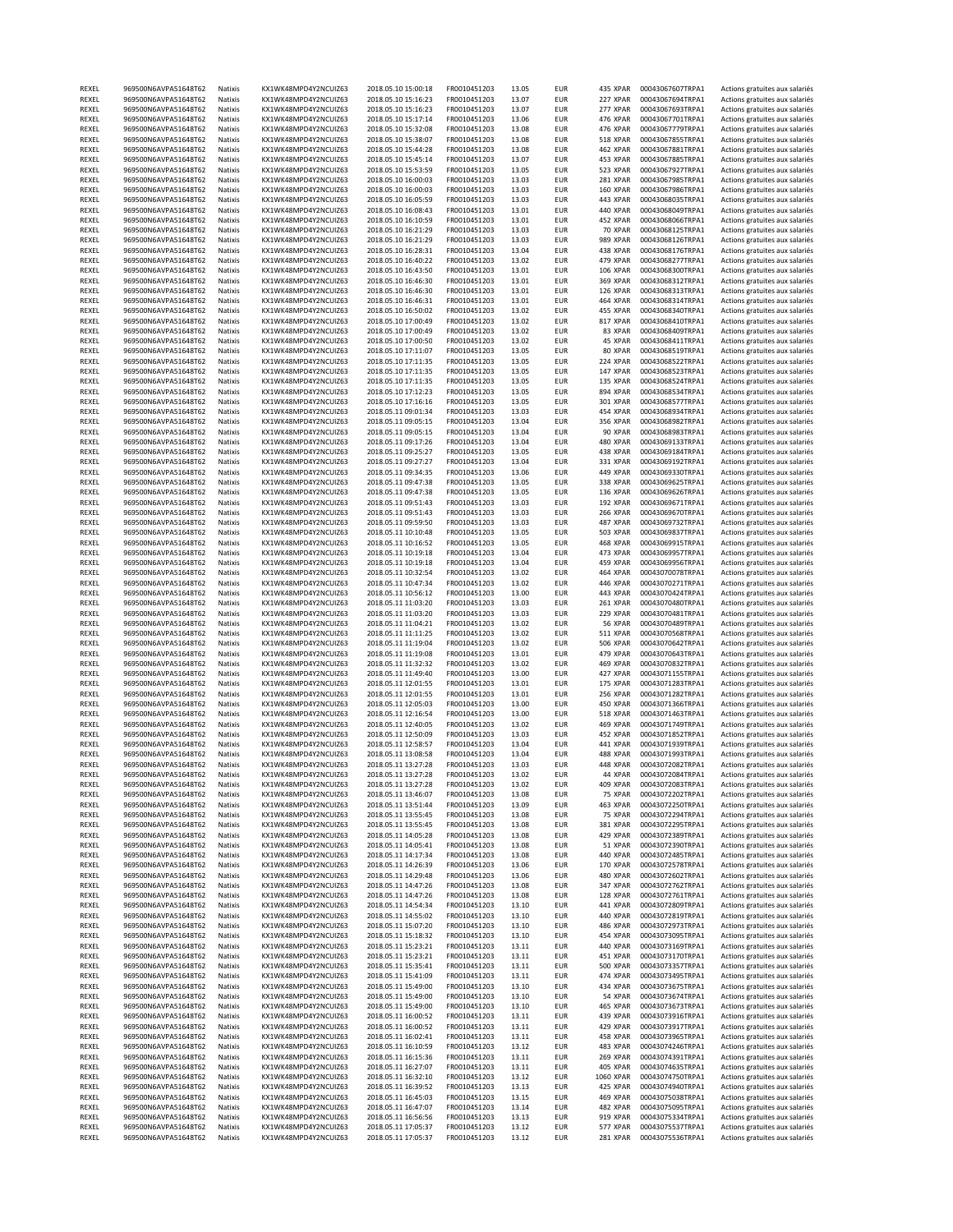| REXEL          | 969500N6AVPA51648T62                         | Natixis            | KX1WK48MPD4Y2NCUIZ63                         | 2018.05.10 15:00:18                        | FR0010451203                 | 13.05          | EUR                      | 435 XPAR        | 00043067607TRPA1                     | Actions gratuites aux salariés                                   |
|----------------|----------------------------------------------|--------------------|----------------------------------------------|--------------------------------------------|------------------------------|----------------|--------------------------|-----------------|--------------------------------------|------------------------------------------------------------------|
| REXEL          | 969500N6AVPA51648T62                         | Natixis            | KX1WK48MPD4Y2NCUIZ63                         | 2018.05.10 15:16:23                        | FR0010451203                 | 13.07          | <b>EUR</b>               | 227 XPAR        | 00043067694TRPA1                     | Actions gratuites aux salariés                                   |
| REXEL          | 969500N6AVPA51648T62                         | Natixis            | KX1WK48MPD4Y2NCUIZ63                         | 2018.05.10 15:16:23                        | FR0010451203                 | 13.07          | <b>EUR</b>               | 277 XPAR        | 00043067693TRPA1                     | Actions gratuites aux salariés                                   |
| REXEL          | 969500N6AVPA51648T62                         | Natixis            | KX1WK48MPD4Y2NCUIZ63                         | 2018.05.10 15:17:14                        | FR0010451203                 | 13.06          | EUR                      | 476 XPAR        | 00043067701TRPA1                     | Actions gratuites aux salariés                                   |
| REXEL          | 969500N6AVPA51648T62                         | Natixis            | KX1WK48MPD4Y2NCUIZ63                         | 2018.05.10 15:32:08                        | FR0010451203                 | 13.08          | <b>EUR</b>               | 476 XPAR        | 00043067779TRPA1                     | Actions gratuites aux salariés                                   |
| REXEL          | 969500N6AVPA51648T62                         | Natixis            | KX1WK48MPD4Y2NCUIZ63                         | 2018.05.10 15:38:07                        | FR0010451203                 | 13.08          | <b>EUR</b>               | 518 XPAR        | 00043067855TRPA1                     | Actions gratuites aux salariés                                   |
| REXEL          | 969500N6AVPA51648T62                         | Natixis            | KX1WK48MPD4Y2NCUIZ63                         | 2018.05.10 15:44:28                        | FR0010451203                 | 13.08          | <b>EUR</b>               | 462 XPAR        | 00043067881TRPA1                     | Actions gratuites aux salariés                                   |
| REXEL          | 969500N6AVPA51648T62                         | Natixis            | KX1WK48MPD4Y2NCUIZ63                         | 2018.05.10 15:45:14                        | FR0010451203                 | 13.07          | <b>EUR</b>               | 453 XPAR        | 00043067885TRPA1                     | Actions gratuites aux salariés                                   |
| REXEL          | 969500N6AVPA51648T62                         | Natixis            | KX1WK48MPD4Y2NCUIZ63                         | 2018.05.10 15:53:59                        | FR0010451203                 | 13.05          | <b>EUR</b>               | 523 XPAR        | 00043067927TRPA1                     | Actions gratuites aux salariés                                   |
| REXEL          |                                              |                    | KX1WK48MPD4Y2NCUIZ63                         |                                            |                              | 13.03          |                          |                 |                                      | Actions gratuites aux salariés                                   |
|                | 969500N6AVPA51648T62                         | Natixis            |                                              | 2018.05.10 16:00:03                        | FR0010451203                 |                | <b>EUR</b>               | 281 XPAR        | 00043067985TRPA1                     |                                                                  |
| REXEL          | 969500N6AVPA51648T62                         | Natixis            | KX1WK48MPD4Y2NCUIZ63                         | 2018.05.10 16:00:03                        | FR0010451203                 | 13.03          | <b>EUR</b>               | 160 XPAR        | 00043067986TRPA1                     | Actions gratuites aux salariés                                   |
| REXEL          | 969500N6AVPA51648T62                         | Natixis            | KX1WK48MPD4Y2NCUIZ63                         | 2018.05.10 16:05:59                        | FR0010451203                 | 13.03          | <b>EUR</b>               | 443 XPAR        | 00043068035TRPA1                     | Actions gratuites aux salariés                                   |
| REXEL          | 969500N6AVPA51648T62                         | Natixis            | KX1WK48MPD4Y2NCUIZ63                         | 2018.05.10 16:08:43                        | FR0010451203                 | 13.01          | <b>EUR</b>               | 440 XPAR        | 00043068049TRPA1                     | Actions gratuites aux salariés                                   |
| REXEL          | 969500N6AVPA51648T62                         | Natixis            | KX1WK48MPD4Y2NCUIZ63                         | 2018.05.10 16:10:59                        | FR0010451203                 | 13.01          | <b>EUR</b>               | 452 XPAR        | 00043068066TRPA1                     | Actions gratuites aux salariés                                   |
| REXEL          | 969500N6AVPA51648T62                         | Natixis            | KX1WK48MPD4Y2NCUIZ63                         | 2018.05.10 16:21:29                        | FR0010451203                 | 13.03          | <b>EUR</b>               | 70 XPAR         | 00043068125TRPA1                     | Actions gratuites aux salariés                                   |
| REXEL          | 969500N6AVPA51648T62                         | Natixis            | KX1WK48MPD4Y2NCUIZ63                         | 2018.05.10 16:21:29                        | FR0010451203                 | 13.03          | <b>EUR</b>               | 989 XPAR        | 00043068126TRPA1                     | Actions gratuites aux salariés                                   |
| REXEL          | 969500N6AVPA51648T62                         | Natixis            | KX1WK48MPD4Y2NCUIZ63                         | 2018.05.10 16:28:31                        | FR0010451203                 | 13.04          | <b>EUR</b>               | 438 XPAR        | 00043068176TRPA1                     | Actions gratuites aux salariés                                   |
| REXEL          | 969500N6AVPA51648T62                         | Natixis            | KX1WK48MPD4Y2NCUIZ63                         | 2018.05.10 16:40:22                        | FR0010451203                 | 13.02          | <b>EUR</b>               | 479 XPAR        | 00043068277TRPA1                     | Actions gratuites aux salariés                                   |
| REXEL          | 969500N6AVPA51648T62                         | Natixis            | KX1WK48MPD4Y2NCUIZ63                         | 2018.05.10 16:43:50                        | FR0010451203                 | 13.01          | <b>EUR</b>               | 106 XPAR        | 00043068300TRPA1                     | Actions gratuites aux salariés                                   |
| REXEL          | 969500N6AVPA51648T62                         | Natixis            | KX1WK48MPD4Y2NCUIZ63                         | 2018.05.10 16:46:30                        | FR0010451203                 | 13.01          | <b>EUR</b>               | 369 XPAR        | 00043068312TRPA1                     | Actions gratuites aux salariés                                   |
| REXEL          | 969500N6AVPA51648T62                         | Natixis            | KX1WK48MPD4Y2NCUIZ63                         | 2018.05.10 16:46:30                        | FR0010451203                 | 13.01          | <b>EUR</b>               | 126 XPAR        | 00043068313TRPA1                     | Actions gratuites aux salariés                                   |
| REXEL          | 969500N6AVPA51648T62                         | Natixis            | KX1WK48MPD4Y2NCUIZ63                         | 2018.05.10 16:46:31                        | FR0010451203                 | 13.01          | <b>EUR</b>               | 464 XPAR        | 00043068314TRPA1                     | Actions gratuites aux salariés                                   |
| REXEL          | 969500N6AVPA51648T62                         | Natixis            | KX1WK48MPD4Y2NCUIZ63                         | 2018.05.10 16:50:02                        | FR0010451203                 | 13.02          | <b>EUR</b>               | 455 XPAR        | 00043068340TRPA1                     | Actions gratuites aux salariés                                   |
| REXEL          | 969500N6AVPA51648T62                         | Natixis            | KX1WK48MPD4Y2NCUIZ63                         | 2018.05.10 17:00:49                        | FR0010451203                 | 13.02          | <b>EUR</b>               | 817 XPAR        | 00043068410TRPA1                     | Actions gratuites aux salariés                                   |
| REXEL          | 969500N6AVPA51648T62                         | Natixis            | KX1WK48MPD4Y2NCUIZ63                         | 2018.05.10 17:00:49                        | FR0010451203                 | 13.02          | <b>EUR</b>               | 83 XPAR         | 00043068409TRPA1                     | Actions gratuites aux salariés                                   |
|                |                                              | Natixis            |                                              |                                            |                              |                |                          |                 |                                      |                                                                  |
| REXEL          | 969500N6AVPA51648T62                         |                    | KX1WK48MPD4Y2NCUIZ63                         | 2018.05.10 17:00:50                        | FR0010451203                 | 13.02          | <b>EUR</b>               | 45 XPAR         | 00043068411TRPA1                     | Actions gratuites aux salariés                                   |
| REXEL          | 969500N6AVPA51648T62                         | Natixis            | KX1WK48MPD4Y2NCUIZ63                         | 2018.05.10 17:11:07                        | FR0010451203                 | 13.05          | <b>EUR</b>               | 80 XPAR         | 00043068519TRPA1                     | Actions gratuites aux salariés                                   |
| REXEL          | 969500N6AVPA51648T62                         | Natixis            | KX1WK48MPD4Y2NCUIZ63                         | 2018.05.10 17:11:35                        | FR0010451203                 | 13.05          | <b>EUR</b>               | 224 XPAR        | 00043068522TRPA1                     | Actions gratuites aux salariés                                   |
| REXEL          | 969500N6AVPA51648T62                         | Natixis            | KX1WK48MPD4Y2NCUIZ63                         | 2018.05.10 17:11:35                        | FR0010451203                 | 13.05          | <b>EUR</b>               | 147 XPAR        | 00043068523TRPA1                     | Actions gratuites aux salariés                                   |
| REXEL          | 969500N6AVPA51648T62                         | Natixis            | KX1WK48MPD4Y2NCUIZ63                         | 2018.05.10 17:11:35                        | FR0010451203                 | 13.05          | <b>EUR</b>               | 135 XPAR        | 00043068524TRPA1                     | Actions gratuites aux salariés                                   |
| REXEL          | 969500N6AVPA51648T62                         | Natixis            | KX1WK48MPD4Y2NCUIZ63                         | 2018.05.10 17:12:23                        | FR0010451203                 | 13.05          | <b>EUR</b>               | 894 XPAR        | 00043068534TRPA1                     | Actions gratuites aux salariés                                   |
| REXEL          | 969500N6AVPA51648T62                         | Natixis            | KX1WK48MPD4Y2NCUIZ63                         | 2018.05.10 17:16:16                        | FR0010451203                 | 13.05          | <b>EUR</b>               | 301 XPAR        | 00043068577TRPA1                     | Actions gratuites aux salariés                                   |
| REXEL          | 969500N6AVPA51648T62                         | Natixis            | KX1WK48MPD4Y2NCUIZ63                         | 2018.05.11 09:01:34                        | FR0010451203                 | 13.03          | <b>EUR</b>               | 454 XPAR        | 00043068934TRPA1                     | Actions gratuites aux salariés                                   |
| REXEL          | 969500N6AVPA51648T62                         | Natixis            | KX1WK48MPD4Y2NCUIZ63                         | 2018.05.11 09:05:15                        | FR0010451203                 | 13.04          | <b>EUR</b>               | 356 XPAR        | 00043068982TRPA1                     | Actions gratuites aux salariés                                   |
| REXEL          | 969500N6AVPA51648T62                         | Natixis            | KX1WK48MPD4Y2NCUIZ63                         | 2018.05.11 09:05:15                        | FR0010451203                 | 13.04          | <b>EUR</b>               | 90 XPAR         | 00043068983TRPA1                     | Actions gratuites aux salariés                                   |
| REXEL          | 969500N6AVPA51648T62                         | Natixis            | KX1WK48MPD4Y2NCUIZ63                         | 2018.05.11 09:17:26                        | FR0010451203                 | 13.04          | <b>EUR</b>               | 480 XPAR        | 00043069133TRPA1                     | Actions gratuites aux salariés                                   |
| REXEL          | 969500N6AVPA51648T62                         | Natixis            | KX1WK48MPD4Y2NCUIZ63                         | 2018.05.11 09:25:27                        | FR0010451203                 | 13.05          | <b>EUR</b>               | 438 XPAR        | 00043069184TRPA1                     | Actions gratuites aux salariés                                   |
| REXEL          | 969500N6AVPA51648T62                         | Natixis            | KX1WK48MPD4Y2NCUIZ63                         | 2018.05.11 09:27:27                        | FR0010451203                 | 13.04          | <b>EUR</b>               | 331 XPAR        | 00043069192TRPA1                     |                                                                  |
|                | 969500N6AVPA51648T62                         |                    |                                              |                                            |                              | 13.06          |                          | 449 XPAR        |                                      | Actions gratuites aux salariés                                   |
| REXEL          |                                              | Natixis            | KX1WK48MPD4Y2NCUIZ63                         | 2018.05.11 09:34:35                        | FR0010451203                 |                | <b>EUR</b>               |                 | 00043069330TRPA1                     | Actions gratuites aux salariés                                   |
| REXEL          | 969500N6AVPA51648T62                         | Natixis            | KX1WK48MPD4Y2NCUIZ63                         | 2018.05.11 09:47:38                        | FR0010451203                 | 13.05          | <b>EUR</b>               | 338 XPAR        | 00043069625TRPA1                     | Actions gratuites aux salariés                                   |
| REXEL          | 969500N6AVPA51648T62                         | Natixis            | KX1WK48MPD4Y2NCUIZ63                         | 2018.05.11 09:47:38                        | FR0010451203                 | 13.05          | <b>EUR</b>               | 136 XPAR        | 00043069626TRPA1                     | Actions gratuites aux salariés                                   |
| REXEL          | 969500N6AVPA51648T62                         | Natixis            | KX1WK48MPD4Y2NCUIZ63                         | 2018.05.11 09:51:43                        | FR0010451203                 | 13.03          | <b>EUR</b>               | 192 XPAR        | 00043069671TRPA1                     | Actions gratuites aux salariés                                   |
| REXEL          | 969500N6AVPA51648T62                         | Natixis            | KX1WK48MPD4Y2NCUIZ63                         | 2018.05.11 09:51:43                        | FR0010451203                 | 13.03          | <b>EUR</b>               | <b>266 XPAR</b> | 00043069670TRPA1                     | Actions gratuites aux salariés                                   |
| REXEL          | 969500N6AVPA51648T62                         | Natixis            | KX1WK48MPD4Y2NCUIZ63                         | 2018.05.11 09:59:50                        | FR0010451203                 | 13.03          | <b>EUR</b>               | 487 XPAR        | 00043069732TRPA1                     | Actions gratuites aux salariés                                   |
| REXEL          | 969500N6AVPA51648T62                         | Natixis            | KX1WK48MPD4Y2NCUIZ63                         | 2018.05.11 10:10:48                        | FR0010451203                 | 13.05          | <b>EUR</b>               | 503 XPAR        | 00043069837TRPA1                     | Actions gratuites aux salariés                                   |
| REXEL          | 969500N6AVPA51648T62                         | Natixis            | KX1WK48MPD4Y2NCUIZ63                         | 2018.05.11 10:16:52                        | FR0010451203                 | 13.05          | <b>EUR</b>               | 468 XPAR        | 00043069915TRPA1                     | Actions gratuites aux salariés                                   |
| REXEL          | 969500N6AVPA51648T62                         | Natixis            | KX1WK48MPD4Y2NCUIZ63                         | 2018.05.11 10:19:18                        | FR0010451203                 | 13.04          | <b>EUR</b>               | 473 XPAR        | 00043069957TRPA1                     | Actions gratuites aux salariés                                   |
| REXEL          | 969500N6AVPA51648T62                         | Natixis            | KX1WK48MPD4Y2NCUIZ63                         | 2018.05.11 10:19:18                        | FR0010451203                 | 13.04          | <b>EUR</b>               | 459 XPAR        | 00043069956TRPA1                     | Actions gratuites aux salariés                                   |
| REXEL          | 969500N6AVPA51648T62                         | Natixis            | KX1WK48MPD4Y2NCUIZ63                         | 2018.05.11 10:32:54                        | FR0010451203                 | 13.02          | <b>EUR</b>               | 464 XPAR        | 00043070078TRPA1                     | Actions gratuites aux salariés                                   |
| REXEL          | 969500N6AVPA51648T62                         | Natixis            | KX1WK48MPD4Y2NCUIZ63                         | 2018.05.11 10:47:34                        | FR0010451203                 | 13.02          | <b>EUR</b>               | 446 XPAR        | 00043070271TRPA1                     | Actions gratuites aux salariés                                   |
| REXEL          | 969500N6AVPA51648T62                         | Natixis            | KX1WK48MPD4Y2NCUIZ63                         | 2018.05.11 10:56:12                        | FR0010451203                 | 13.00          | <b>EUR</b>               | 443 XPAR        | 00043070424TRPA1                     | Actions gratuites aux salariés                                   |
|                |                                              |                    |                                              |                                            |                              |                |                          |                 |                                      |                                                                  |
| REXEL          | 969500N6AVPA51648T62                         | Natixis            | KX1WK48MPD4Y2NCUIZ63                         | 2018.05.11 11:03:20                        | FR0010451203                 | 13.03          | <b>EUR</b>               | 261 XPAR        | 00043070480TRPA1                     | Actions gratuites aux salariés                                   |
| REXEL          | 969500N6AVPA51648T62                         | Natixis            | KX1WK48MPD4Y2NCUIZ63                         | 2018.05.11 11:03:20                        | FR0010451203                 | 13.03          | <b>EUR</b>               | 229 XPAR        | 00043070481TRPA1                     | Actions gratuites aux salariés                                   |
| REXEL          | 969500N6AVPA51648T62                         | Natixis            | KX1WK48MPD4Y2NCUIZ63                         | 2018.05.11 11:04:21                        | FR0010451203                 | 13.02          | <b>EUR</b>               | 56 XPAR         | 00043070489TRPA1                     | Actions gratuites aux salariés                                   |
| REXEL          | 969500N6AVPA51648T62                         | Natixis            | KX1WK48MPD4Y2NCUIZ63                         | 2018.05.11 11:11:25                        | FR0010451203                 | 13.02          | <b>EUR</b>               | 511 XPAR        | 00043070568TRPA1                     | Actions gratuites aux salariés                                   |
| REXEL          | 969500N6AVPA51648T62                         | Natixis            | KX1WK48MPD4Y2NCUIZ63                         | 2018.05.11 11:19:04                        | FR0010451203                 | 13.02          | <b>EUR</b>               | <b>506 XPAR</b> | 00043070642TRPA1                     | Actions gratuites aux salariés                                   |
| REXEL          | 969500N6AVPA51648T62                         | Natixis            | KX1WK48MPD4Y2NCUIZ63                         | 2018.05.11 11:19:08                        | FR0010451203                 | 13.01          | <b>EUR</b>               | 479 XPAR        | 00043070643TRPA1                     | Actions gratuites aux salariés                                   |
| REXEL          | 969500N6AVPA51648T62                         | Natixis            | KX1WK48MPD4Y2NCUIZ63                         | 2018.05.11 11:32:32                        | FR0010451203                 | 13.02          | <b>EUR</b>               | 469 XPAR        | 00043070832TRPA1                     | Actions gratuites aux salariés                                   |
| REXEL          | 969500N6AVPA51648T62                         | Natixis            | KX1WK48MPD4Y2NCUIZ63                         | 2018.05.11 11:49:40                        | FR0010451203                 | 13.00          | <b>EUR</b>               | 427 XPAR        | 00043071155TRPA1                     | Actions gratuites aux salariés                                   |
| REXEL          | 969500N6AVPA51648T62                         | Natixis            | KX1WK48MPD4Y2NCUIZ63                         | 2018.05.11 12:01:55                        | FR0010451203                 | 13.01          | <b>EUR</b>               | 175 XPAR        | 00043071283TRPA1                     | Actions gratuites aux salariés                                   |
| REXEL          | 969500N6AVPA51648T62                         | Natixis            | KX1WK48MPD4Y2NCUIZ63                         | 2018.05.11 12:01:55                        | FR0010451203                 | 13.01          | <b>EUR</b>               | <b>256 XPAR</b> | 00043071282TRPA1                     | Actions gratuites aux salariés                                   |
| REXEL          | 969500N6AVPA51648T62                         | Natixis            | KX1WK48MPD4Y2NCUIZ63                         | 2018.05.11 12:05:03                        | FR0010451203                 | 13.00          | <b>EUR</b>               | 450 XPAR        | 00043071366TRPA1                     | Actions gratuites aux salariés                                   |
| REXEL          | 969500N6AVPA51648T62                         | Natixis            | KX1WK48MPD4Y2NCUIZ63                         | 2018.05.11 12:16:54                        | FR0010451203                 | 13.00          | <b>EUR</b>               | <b>518 XPAR</b> | 00043071463TRPA1                     | Actions gratuites aux salariés                                   |
| REXEL          | 969500N6AVPA51648T62                         | Natixis            | KX1WK48MPD4Y2NCUIZ63                         | 2018.05.11 12:40:05                        | FR0010451203                 | 13.02          | <b>EUR</b>               | 469 XPAR        | 00043071749TRPA1                     | Actions gratuites aux salariés                                   |
| REXEL          | 969500N6AVPA51648T62                         | Natixis            | KX1WK48MPD4Y2NCUIZ63                         | 2018.05.11 12:50:09                        | FR0010451203                 | 13.03          | <b>EUR</b>               | 452 XPAR        | 00043071852TRPA1                     | Actions gratuites aux salariés                                   |
|                |                                              |                    |                                              |                                            |                              |                |                          |                 |                                      |                                                                  |
| REXEL          | 969500N6AVPA51648T62                         | Natixis            | KX1WK48MPD4Y2NCUIZ63                         | 2018.05.11 12:58:57                        | FR0010451203                 | 13.04          | <b>EUR</b>               | 441 XPAR        | 00043071939TRPA1                     | Actions gratuites aux salariés                                   |
| REXEL          | 969500N6AVPA51648T62                         | Natixis            | KX1WK48MPD4Y2NCUIZ63                         | 2018.05.11 13:08:58                        | FR0010451203                 | 13.04          | <b>EUR</b>               | 488 XPAR        | 00043071993TRPA1                     | Actions gratuites aux salariés                                   |
| REXEL          | 969500N6AVPA51648T62                         | Natixis            | KX1WK48MPD4Y2NCUIZ63                         | 2018.05.11 13:27:28                        | FR0010451203                 | 13.03          | <b>EUR</b>               | 448 XPAR        | 00043072082TRPA1                     | Actions gratuites aux salariés                                   |
| REXEL          | 969500N6AVPA51648T62                         | Natixis            | KX1WK48MPD4Y2NCUIZ63                         | 2018.05.11 13:27:28                        | FR0010451203                 | 13.02          | <b>EUR</b>               | 44 XPAR         | 00043072084TRPA1                     | Actions gratuites aux salariés                                   |
| REXEL          | 969500N6AVPA51648T62                         | Natixis            | KX1WK48MPD4Y2NCUIZ63                         | 2018.05.11 13:27:28                        | FR0010451203                 | 13.02          | <b>EUR</b>               | 409 XPAR        | 00043072083TRPA1                     | Actions gratuites aux salariés                                   |
| REXEL          | 969500N6AVPA51648T62                         | Natixis            | KX1WK48MPD4Y2NCUIZ63                         | 2018.05.11 13:46:07                        | FR0010451203                 | 13.08          | <b>EUR</b>               | 75 XPAR         | 00043072202TRPA1                     | Actions gratuites aux salariés                                   |
| REXEL          | 969500N6AVPA51648T62                         | Natixis            | KX1WK48MPD4Y2NCUIZ63                         | 2018.05.11 13:51:44                        | FR0010451203                 | 13.09          | <b>EUR</b>               | 463 XPAR        | 00043072250TRPA1                     | Actions gratuites aux salariés                                   |
| REXEL          | 969500N6AVPA51648T62                         | Natixis            | KX1WK48MPD4Y2NCUIZ63                         | 2018.05.11 13:55:45                        | FR0010451203                 | 13.08          | <b>EUR</b>               | 75 XPAR         | 00043072294TRPA1                     | Actions gratuites aux salariés                                   |
| REXEL          | 969500N6AVPA51648T62                         | Natixis            | KX1WK48MPD4Y2NCUIZ63                         | 2018.05.11 13:55:45                        | FR0010451203                 | 13.08          | EUR                      | 381 XPAR        | 00043072295TRPA1                     | Actions gratuites aux salariés                                   |
| REXEL          | 969500N6AVPA51648T62                         | Natixis            | KX1WK48MPD4Y2NCUIZ63                         | 2018.05.11 14:05:28                        | FR0010451203                 | 13.08          | <b>EUR</b>               | 429 XPAR        | 00043072389TRPA1                     | Actions gratuites aux salariés                                   |
| REXEL          | 969500N6AVPA51648T62                         | Natixis            | KX1WK48MPD4Y2NCUIZ63                         | 2018.05.11 14:05:41                        | FR0010451203                 | 13.08          | <b>EUR</b>               | 51 XPAR         | 00043072390TRPA1                     | Actions gratuites aux salariés                                   |
| REXEL          | 969500N6AVPA51648T62                         | Natixis            | KX1WK48MPD4Y2NCUIZ63                         | 2018.05.11 14:17:34                        | FR0010451203                 | 13.08          | <b>EUR</b>               | 440 XPAR        | 00043072485TRPA1                     | Actions gratuites aux salariés                                   |
| REXEL          | 969500N6AVPA51648T62                         | Natixis            | KX1WK48MPD4Y2NCUIZ63                         | 2018.05.11 14:26:39                        | FR0010451203                 | 13.06          | <b>EUR</b>               | 170 XPAR        | 00043072578TRPA1                     | Actions gratuites aux salariés                                   |
| REXEL          | 969500N6AVPA51648T62                         | Natixis            | KX1WK48MPD4Y2NCUIZ63                         | 2018.05.11 14:29:48                        | FR0010451203                 | 13.06          | <b>EUR</b>               | 480 XPAR        | 00043072602TRPA1                     | Actions gratuites aux salariés                                   |
| REXEL          | 969500N6AVPA51648T62                         | Natixis            | KX1WK48MPD4Y2NCUIZ63                         | 2018.05.11 14:47:26                        | FR0010451203                 | 13.08          | <b>EUR</b>               | 347 XPAR        | 00043072762TRPA1                     | Actions gratuites aux salariés                                   |
| REXEL          | 969500N6AVPA51648T62                         | Natixis            | KX1WK48MPD4Y2NCUIZ63                         | 2018.05.11 14:47:26                        | FR0010451203                 | 13.08          | <b>EUR</b>               | 128 XPAR        | 00043072761TRPA1                     |                                                                  |
|                |                                              |                    |                                              |                                            |                              |                |                          |                 |                                      | Actions gratuites aux salariés                                   |
| REXEL          | 969500N6AVPA51648T62                         | Natixis            | KX1WK48MPD4Y2NCUIZ63                         | 2018.05.11 14:54:34                        | FR0010451203                 | 13.10          | <b>EUR</b>               | 441 XPAR        | 00043072809TRPA1                     | Actions gratuites aux salariés                                   |
| REXEL          | 969500N6AVPA51648T62                         | Natixis            | KX1WK48MPD4Y2NCUIZ63                         | 2018.05.11 14:55:02                        | FR0010451203                 | 13.10          | <b>EUR</b>               | 440 XPAR        | 00043072819TRPA1                     | Actions gratuites aux salariés                                   |
| REXEL          | 969500N6AVPA51648T62                         | Natixis            | KX1WK48MPD4Y2NCUIZ63                         | 2018.05.11 15:07:20                        | FR0010451203                 | 13.10          | <b>EUR</b>               | 486 XPAR        | 00043072973TRPA1                     | Actions gratuites aux salariés                                   |
| REXEL          | 969500N6AVPA51648T62                         | Natixis            | KX1WK48MPD4Y2NCUIZ63                         | 2018.05.11 15:18:32                        | FR0010451203                 | 13.10          | <b>EUR</b>               | 454 XPAR        | 00043073095TRPA1                     | Actions gratuites aux salariés                                   |
| REXEL          | 969500N6AVPA51648T62                         | Natixis            | KX1WK48MPD4Y2NCUIZ63                         | 2018.05.11 15:23:21                        | FR0010451203                 | 13.11          | <b>EUR</b>               | 440 XPAR        | 00043073169TRPA1                     | Actions gratuites aux salariés                                   |
| REXEL          | 969500N6AVPA51648T62                         | Natixis            | KX1WK48MPD4Y2NCUIZ63                         | 2018.05.11 15:23:21                        | FR0010451203                 | 13.11          | <b>EUR</b>               | 451 XPAR        | 00043073170TRPA1                     | Actions gratuites aux salariés                                   |
| REXEL          | 969500N6AVPA51648T62                         | Natixis            | KX1WK48MPD4Y2NCUIZ63                         | 2018.05.11 15:35:41                        | FR0010451203                 | 13.11          | <b>EUR</b>               | <b>500 XPAR</b> | 00043073357TRPA1                     | Actions gratuites aux salariés                                   |
| REXEL          | 969500N6AVPA51648T62                         | Natixis            | KX1WK48MPD4Y2NCUIZ63                         | 2018.05.11 15:41:09                        | FR0010451203                 | 13.11          | <b>EUR</b>               | 474 XPAR        | 00043073495TRPA1                     | Actions gratuites aux salariés                                   |
| REXEL          | 969500N6AVPA51648T62                         | Natixis            | KX1WK48MPD4Y2NCUIZ63                         | 2018.05.11 15:49:00                        | FR0010451203                 | 13.10          | <b>EUR</b>               | 434 XPAR        | 00043073675TRPA1                     | Actions gratuites aux salariés                                   |
| REXEL          | 969500N6AVPA51648T62                         | Natixis            | KX1WK48MPD4Y2NCUIZ63                         | 2018.05.11 15:49:00                        | FR0010451203                 | 13.10          | <b>EUR</b>               | 54 XPAR         | 00043073674TRPA1                     | Actions gratuites aux salariés                                   |
| REXEL          | 969500N6AVPA51648T62                         | Natixis            | KX1WK48MPD4Y2NCUIZ63                         | 2018.05.11 15:49:00                        | FR0010451203                 | 13.10          | <b>EUR</b>               | 465 XPAR        | 00043073673TRPA1                     | Actions gratuites aux salariés                                   |
| REXEL          | 969500N6AVPA51648T62                         | Natixis            | KX1WK48MPD4Y2NCUIZ63                         | 2018.05.11 16:00:52                        | FR0010451203                 | 13.11          | EUR                      | 439 XPAR        | 00043073916TRPA1                     | Actions gratuites aux salariés                                   |
|                | 969500N6AVPA51648T62                         |                    |                                              |                                            |                              |                |                          |                 |                                      |                                                                  |
| REXEL          |                                              | Natixis            | KX1WK48MPD4Y2NCUIZ63                         | 2018.05.11 16:00:52                        | FR0010451203                 | 13.11          | <b>EUR</b>               | 429 XPAR        | 00043073917TRPA1                     | Actions gratuites aux salariés                                   |
| REXEL          | 969500N6AVPA51648T62                         | Natixis            | KX1WK48MPD4Y2NCUIZ63                         | 2018.05.11 16:02:41                        | FR0010451203                 | 13.11          | <b>EUR</b>               | 458 XPAR        | 00043073965TRPA1                     | Actions gratuites aux salariés                                   |
| REXEL          | 969500N6AVPA51648T62                         | Natixis            | KX1WK48MPD4Y2NCUIZ63                         | 2018.05.11 16:10:59                        | FR0010451203                 | 13.12          | <b>EUR</b>               | 483 XPAR        | 00043074246TRPA1                     | Actions gratuites aux salariés                                   |
| REXEL          | 969500N6AVPA51648T62                         | Natixis            | KX1WK48MPD4Y2NCUIZ63                         | 2018.05.11 16:15:36                        | FR0010451203                 | 13.11          | <b>EUR</b>               | 269 XPAR        | 00043074391TRPA1                     | Actions gratuites aux salariés                                   |
| REXEL          | 969500N6AVPA51648T62                         | Natixis            | KX1WK48MPD4Y2NCUIZ63                         | 2018.05.11 16:27:07                        | FR0010451203                 | 13.11          | <b>EUR</b>               | 405 XPAR        | 00043074635TRPA1                     | Actions gratuites aux salariés                                   |
| REXEL          | 969500N6AVPA51648T62                         | Natixis            | KX1WK48MPD4Y2NCUIZ63                         | 2018.05.11 16:32:10                        | FR0010451203                 | 13.12          | EUR                      | 1060 XPAR       | 00043074750TRPA1                     | Actions gratuites aux salariés                                   |
| REXEL          |                                              | Natixis            | KX1WK48MPD4Y2NCUIZ63                         | 2018.05.11 16:39:52                        | FR0010451203                 | 13.13          | <b>EUR</b>               | 425 XPAR        | 00043074940TRPA1                     | Actions gratuites aux salariés                                   |
|                | 969500N6AVPA51648T62                         |                    |                                              |                                            |                              |                |                          |                 |                                      |                                                                  |
| REXEL          | 969500N6AVPA51648T62                         | Natixis            | KX1WK48MPD4Y2NCUIZ63                         | 2018.05.11 16:45:03                        | FR0010451203                 | 13.15          | <b>EUR</b>               | 469 XPAR        | 00043075038TRPA1                     | Actions gratuites aux salariés                                   |
| REXEL          | 969500N6AVPA51648T62                         | Natixis            | KX1WK48MPD4Y2NCUIZ63                         | 2018.05.11 16:47:07                        | FR0010451203                 | 13.14          | <b>EUR</b>               | 482 XPAR        | 00043075095TRPA1                     | Actions gratuites aux salariés                                   |
| REXEL          | 969500N6AVPA51648T62                         | Natixis            | KX1WK48MPD4Y2NCUIZ63                         | 2018.05.11 16:56:56                        | FR0010451203                 |                | <b>EUR</b>               | 919 XPAR        | 00043075334TRPA1                     | Actions gratuites aux salariés                                   |
|                |                                              |                    |                                              |                                            |                              | 13.13          |                          | 577 XPAR        |                                      |                                                                  |
| REXEL<br>REXEL | 969500N6AVPA51648T62<br>969500N6AVPA51648T62 | Natixis<br>Natixis | KX1WK48MPD4Y2NCUIZ63<br>KX1WK48MPD4Y2NCUIZ63 | 2018.05.11 17:05:37<br>2018.05.11 17:05:37 | FR0010451203<br>FR0010451203 | 13.12<br>13.12 | <b>EUR</b><br><b>EUR</b> | 281 XPAR        | 00043075537TRPA1<br>00043075536TRPA1 | Actions gratuites aux salariés<br>Actions gratuites aux salariés |